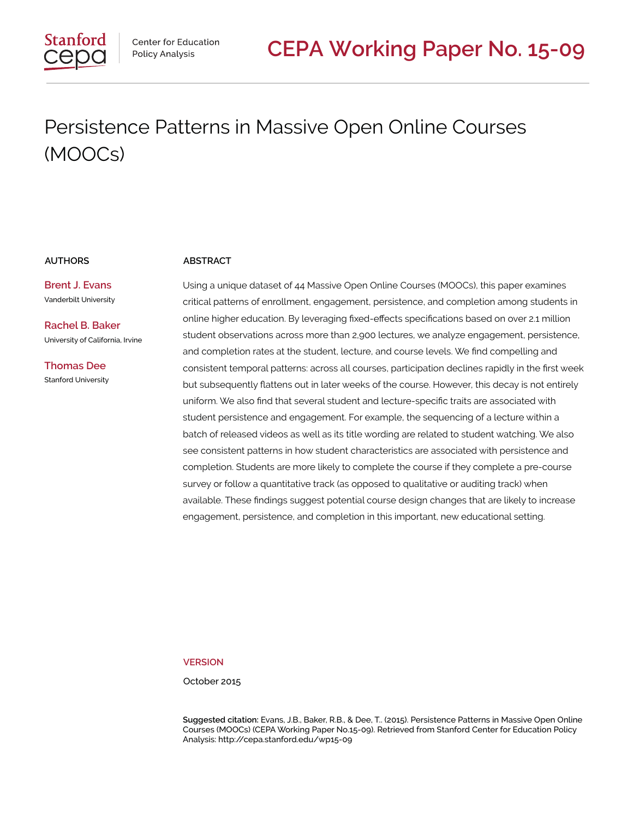# Persistence Patterns in Massive Open Online Courses (MOOCs)

**Brent J. Evans** Vanderbilt University

**Rachel B. Baker** University of California, Irvine

**Thomas Dee** Stanford University

#### **AUTHORS ABSTRACT**

Using a unique dataset of 44 Massive Open Online Courses (MOOCs), this paper examines critical patterns of enrollment, engagement, persistence, and completion among students in online higher education. By leveraging fixed-effects specifications based on over 2.1 million student observations across more than 2,900 lectures, we analyze engagement, persistence, and completion rates at the student, lecture, and course levels. We find compelling and consistent temporal patterns: across all courses, participation declines rapidly in the first week but subsequently flattens out in later weeks of the course. However, this decay is not entirely uniform. We also find that several student and lecture-specific traits are associated with student persistence and engagement. For example, the sequencing of a lecture within a batch of released videos as well as its title wording are related to student watching. We also see consistent patterns in how student characteristics are associated with persistence and completion. Students are more likely to complete the course if they complete a pre-course survey or follow a quantitative track (as opposed to qualitative or auditing track) when available. These findings suggest potential course design changes that are likely to increase engagement, persistence, and completion in this important, new educational setting.

#### **VERSION**

October 2015

**Suggested citation:** Evans, J.B., Baker, R.B., & Dee, T.. (2015). Persistence Patterns in Massive Open Online Courses (MOOCs) (CEPA Working Paper No.15-09). Retrieved from Stanford Center for Education Policy Analysis: http://cepa.stanford.edu/wp15-09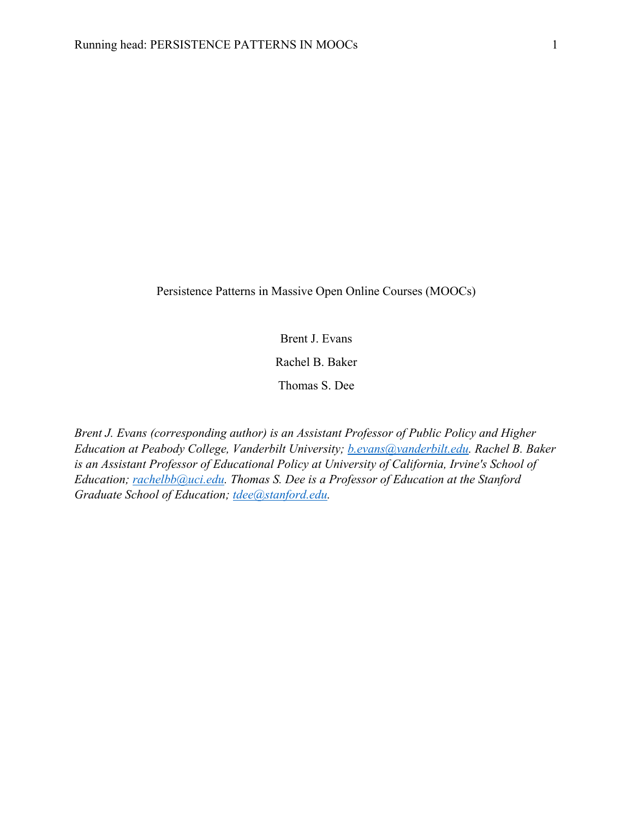Persistence Patterns in Massive Open Online Courses (MOOCs)

Brent J. Evans

Rachel B. Baker

Thomas S. Dee

*Brent J. Evans (corresponding author) is an Assistant Professor of Public Policy and Higher Education at Peabody College, Vanderbilt University; b.evans@vanderbilt.edu. Rachel B. Baker is an Assistant Professor of Educational Policy at University of California, Irvine's School of Education; rachelbb@uci.edu. Thomas S. Dee is a Professor of Education at the Stanford Graduate School of Education; tdee@stanford.edu.*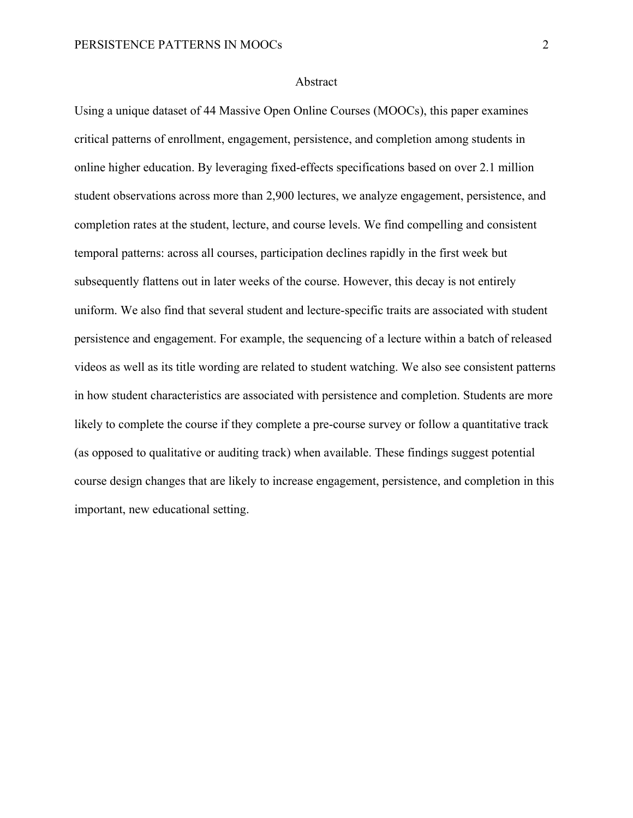#### Abstract

Using a unique dataset of 44 Massive Open Online Courses (MOOCs), this paper examines critical patterns of enrollment, engagement, persistence, and completion among students in online higher education. By leveraging fixed-effects specifications based on over 2.1 million student observations across more than 2,900 lectures, we analyze engagement, persistence, and completion rates at the student, lecture, and course levels. We find compelling and consistent temporal patterns: across all courses, participation declines rapidly in the first week but subsequently flattens out in later weeks of the course. However, this decay is not entirely uniform. We also find that several student and lecture-specific traits are associated with student persistence and engagement. For example, the sequencing of a lecture within a batch of released videos as well as its title wording are related to student watching. We also see consistent patterns in how student characteristics are associated with persistence and completion. Students are more likely to complete the course if they complete a pre-course survey or follow a quantitative track (as opposed to qualitative or auditing track) when available. These findings suggest potential course design changes that are likely to increase engagement, persistence, and completion in this important, new educational setting.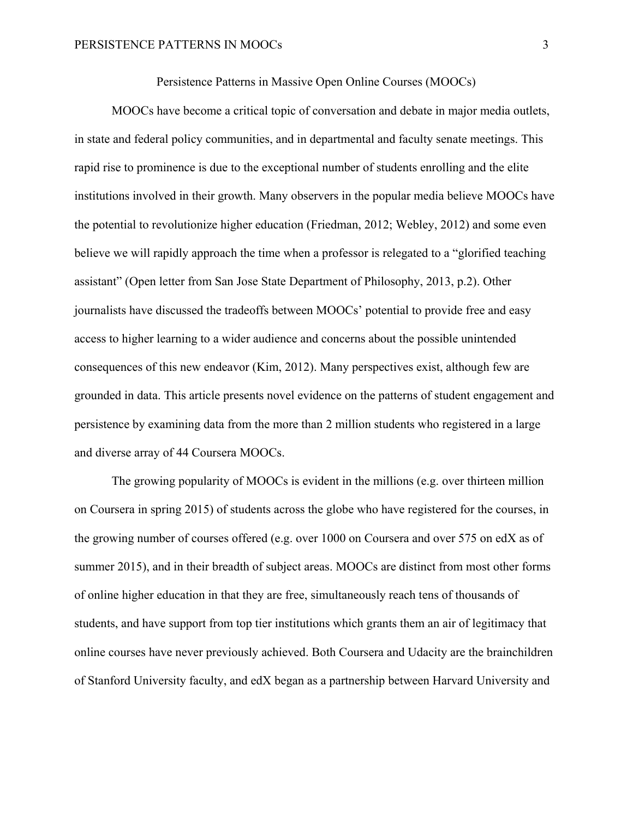Persistence Patterns in Massive Open Online Courses (MOOCs)

MOOCs have become a critical topic of conversation and debate in major media outlets, in state and federal policy communities, and in departmental and faculty senate meetings. This rapid rise to prominence is due to the exceptional number of students enrolling and the elite institutions involved in their growth. Many observers in the popular media believe MOOCs have the potential to revolutionize higher education (Friedman, 2012; Webley, 2012) and some even believe we will rapidly approach the time when a professor is relegated to a "glorified teaching assistant" (Open letter from San Jose State Department of Philosophy, 2013, p.2). Other journalists have discussed the tradeoffs between MOOCs' potential to provide free and easy access to higher learning to a wider audience and concerns about the possible unintended consequences of this new endeavor (Kim, 2012). Many perspectives exist, although few are grounded in data. This article presents novel evidence on the patterns of student engagement and persistence by examining data from the more than 2 million students who registered in a large and diverse array of 44 Coursera MOOCs.

The growing popularity of MOOCs is evident in the millions (e.g. over thirteen million on Coursera in spring 2015) of students across the globe who have registered for the courses, in the growing number of courses offered (e.g. over 1000 on Coursera and over 575 on edX as of summer 2015), and in their breadth of subject areas. MOOCs are distinct from most other forms of online higher education in that they are free, simultaneously reach tens of thousands of students, and have support from top tier institutions which grants them an air of legitimacy that online courses have never previously achieved. Both Coursera and Udacity are the brainchildren of Stanford University faculty, and edX began as a partnership between Harvard University and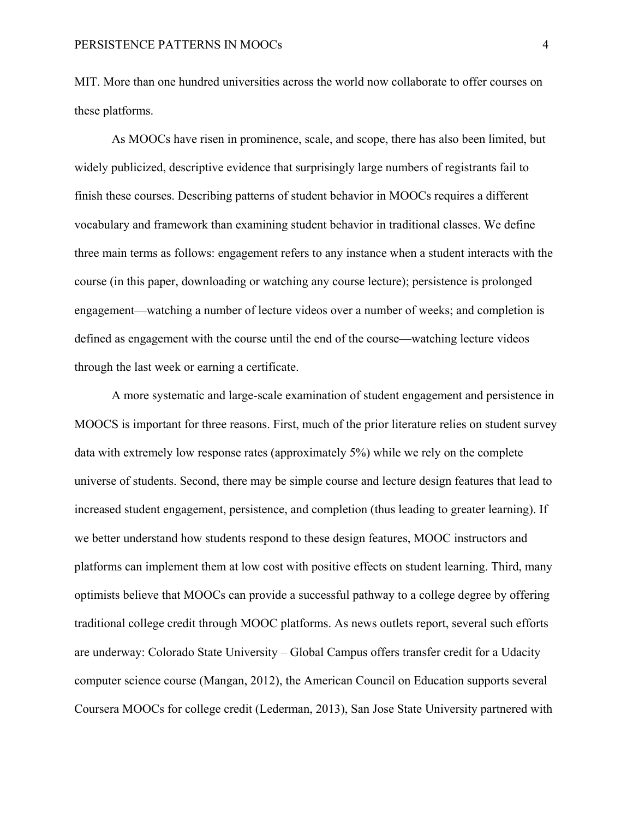MIT. More than one hundred universities across the world now collaborate to offer courses on these platforms.

As MOOCs have risen in prominence, scale, and scope, there has also been limited, but widely publicized, descriptive evidence that surprisingly large numbers of registrants fail to finish these courses. Describing patterns of student behavior in MOOCs requires a different vocabulary and framework than examining student behavior in traditional classes. We define three main terms as follows: engagement refers to any instance when a student interacts with the course (in this paper, downloading or watching any course lecture); persistence is prolonged engagement—watching a number of lecture videos over a number of weeks; and completion is defined as engagement with the course until the end of the course—watching lecture videos through the last week or earning a certificate.

A more systematic and large-scale examination of student engagement and persistence in MOOCS is important for three reasons. First, much of the prior literature relies on student survey data with extremely low response rates (approximately 5%) while we rely on the complete universe of students. Second, there may be simple course and lecture design features that lead to increased student engagement, persistence, and completion (thus leading to greater learning). If we better understand how students respond to these design features, MOOC instructors and platforms can implement them at low cost with positive effects on student learning. Third, many optimists believe that MOOCs can provide a successful pathway to a college degree by offering traditional college credit through MOOC platforms. As news outlets report, several such efforts are underway: Colorado State University – Global Campus offers transfer credit for a Udacity computer science course (Mangan, 2012), the American Council on Education supports several Coursera MOOCs for college credit (Lederman, 2013), San Jose State University partnered with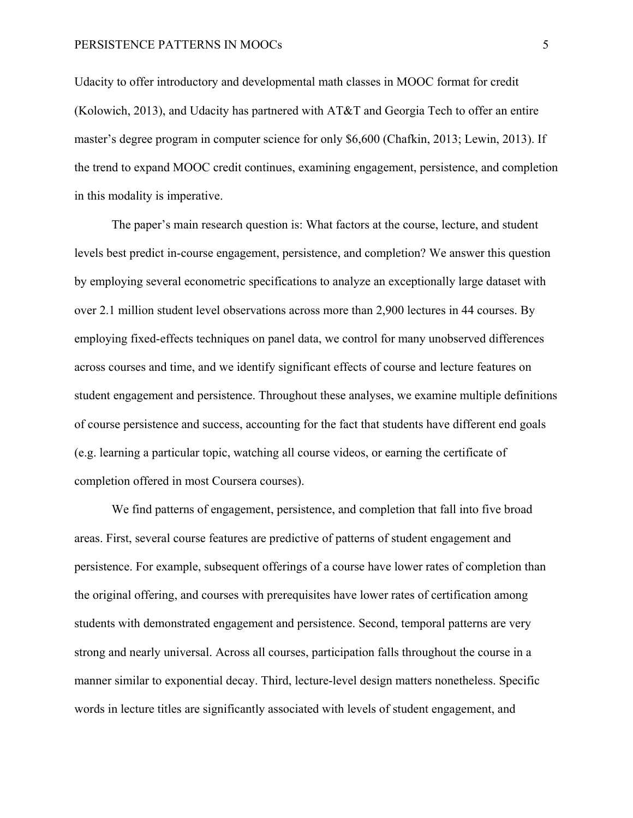Udacity to offer introductory and developmental math classes in MOOC format for credit (Kolowich, 2013), and Udacity has partnered with AT&T and Georgia Tech to offer an entire master's degree program in computer science for only \$6,600 (Chafkin, 2013; Lewin, 2013). If the trend to expand MOOC credit continues, examining engagement, persistence, and completion in this modality is imperative.

The paper's main research question is: What factors at the course, lecture, and student levels best predict in-course engagement, persistence, and completion? We answer this question by employing several econometric specifications to analyze an exceptionally large dataset with over 2.1 million student level observations across more than 2,900 lectures in 44 courses. By employing fixed-effects techniques on panel data, we control for many unobserved differences across courses and time, and we identify significant effects of course and lecture features on student engagement and persistence. Throughout these analyses, we examine multiple definitions of course persistence and success, accounting for the fact that students have different end goals (e.g. learning a particular topic, watching all course videos, or earning the certificate of completion offered in most Coursera courses).

We find patterns of engagement, persistence, and completion that fall into five broad areas. First, several course features are predictive of patterns of student engagement and persistence. For example, subsequent offerings of a course have lower rates of completion than the original offering, and courses with prerequisites have lower rates of certification among students with demonstrated engagement and persistence. Second, temporal patterns are very strong and nearly universal. Across all courses, participation falls throughout the course in a manner similar to exponential decay. Third, lecture-level design matters nonetheless. Specific words in lecture titles are significantly associated with levels of student engagement, and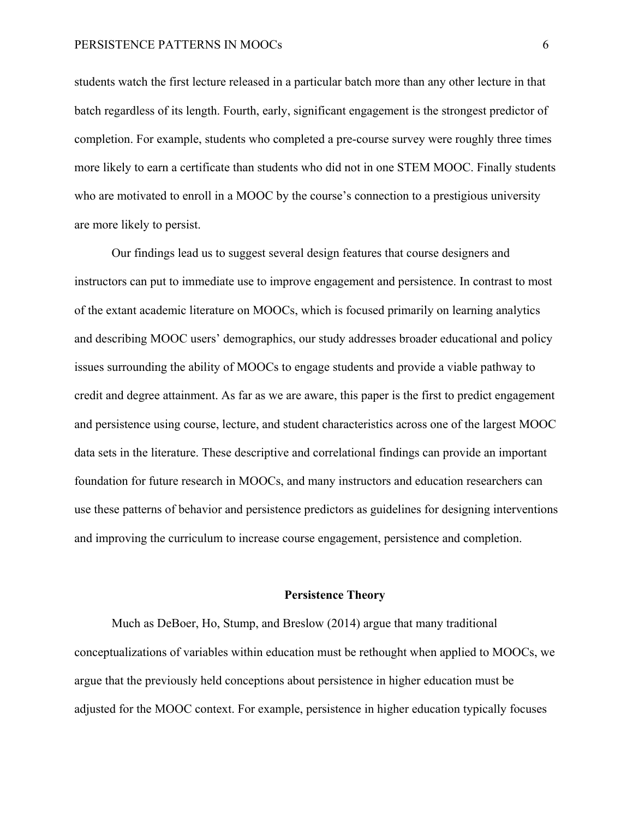students watch the first lecture released in a particular batch more than any other lecture in that batch regardless of its length. Fourth, early, significant engagement is the strongest predictor of completion. For example, students who completed a pre-course survey were roughly three times more likely to earn a certificate than students who did not in one STEM MOOC. Finally students who are motivated to enroll in a MOOC by the course's connection to a prestigious university are more likely to persist.

Our findings lead us to suggest several design features that course designers and instructors can put to immediate use to improve engagement and persistence. In contrast to most of the extant academic literature on MOOCs, which is focused primarily on learning analytics and describing MOOC users' demographics, our study addresses broader educational and policy issues surrounding the ability of MOOCs to engage students and provide a viable pathway to credit and degree attainment. As far as we are aware, this paper is the first to predict engagement and persistence using course, lecture, and student characteristics across one of the largest MOOC data sets in the literature. These descriptive and correlational findings can provide an important foundation for future research in MOOCs, and many instructors and education researchers can use these patterns of behavior and persistence predictors as guidelines for designing interventions and improving the curriculum to increase course engagement, persistence and completion.

#### **Persistence Theory**

Much as DeBoer, Ho, Stump, and Breslow (2014) argue that many traditional conceptualizations of variables within education must be rethought when applied to MOOCs, we argue that the previously held conceptions about persistence in higher education must be adjusted for the MOOC context. For example, persistence in higher education typically focuses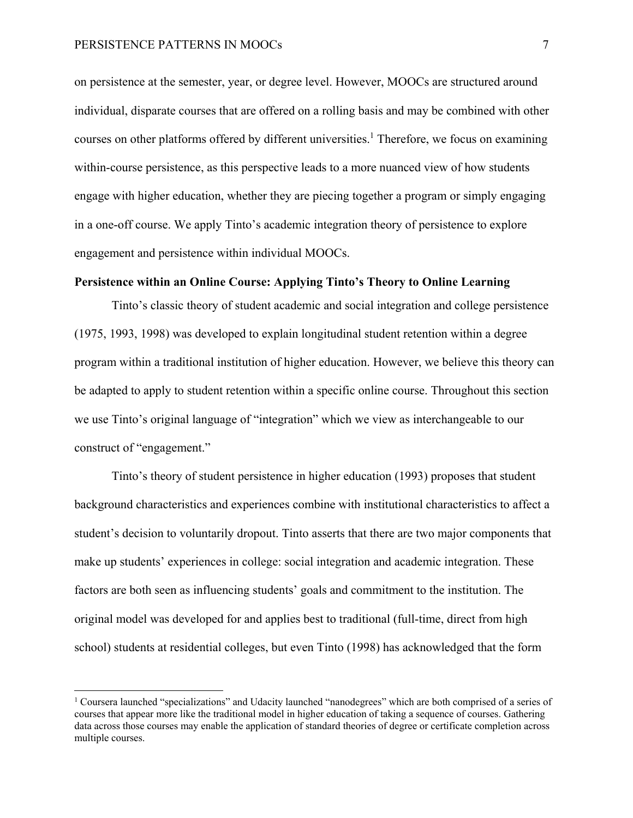on persistence at the semester, year, or degree level. However, MOOCs are structured around individual, disparate courses that are offered on a rolling basis and may be combined with other courses on other platforms offered by different universities.<sup>1</sup> Therefore, we focus on examining within-course persistence, as this perspective leads to a more nuanced view of how students engage with higher education, whether they are piecing together a program or simply engaging in a one-off course. We apply Tinto's academic integration theory of persistence to explore engagement and persistence within individual MOOCs.

#### **Persistence within an Online Course: Applying Tinto's Theory to Online Learning**

Tinto's classic theory of student academic and social integration and college persistence (1975, 1993, 1998) was developed to explain longitudinal student retention within a degree program within a traditional institution of higher education. However, we believe this theory can be adapted to apply to student retention within a specific online course. Throughout this section we use Tinto's original language of "integration" which we view as interchangeable to our construct of "engagement."

Tinto's theory of student persistence in higher education (1993) proposes that student background characteristics and experiences combine with institutional characteristics to affect a student's decision to voluntarily dropout. Tinto asserts that there are two major components that make up students' experiences in college: social integration and academic integration. These factors are both seen as influencing students' goals and commitment to the institution. The original model was developed for and applies best to traditional (full-time, direct from high school) students at residential colleges, but even Tinto (1998) has acknowledged that the form

<sup>&</sup>lt;sup>1</sup> Coursera launched "specializations" and Udacity launched "nanodegrees" which are both comprised of a series of courses that appear more like the traditional model in higher education of taking a sequence of courses. Gathering data across those courses may enable the application of standard theories of degree or certificate completion across multiple courses.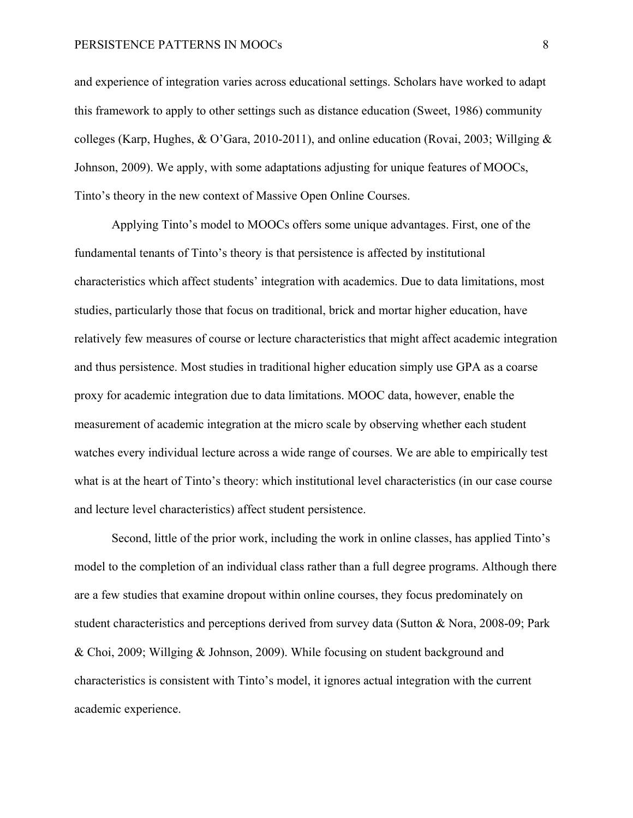and experience of integration varies across educational settings. Scholars have worked to adapt this framework to apply to other settings such as distance education (Sweet, 1986) community colleges (Karp, Hughes, & O'Gara, 2010-2011), and online education (Rovai, 2003; Willging & Johnson, 2009). We apply, with some adaptations adjusting for unique features of MOOCs, Tinto's theory in the new context of Massive Open Online Courses.

Applying Tinto's model to MOOCs offers some unique advantages. First, one of the fundamental tenants of Tinto's theory is that persistence is affected by institutional characteristics which affect students' integration with academics. Due to data limitations, most studies, particularly those that focus on traditional, brick and mortar higher education, have relatively few measures of course or lecture characteristics that might affect academic integration and thus persistence. Most studies in traditional higher education simply use GPA as a coarse proxy for academic integration due to data limitations. MOOC data, however, enable the measurement of academic integration at the micro scale by observing whether each student watches every individual lecture across a wide range of courses. We are able to empirically test what is at the heart of Tinto's theory: which institutional level characteristics (in our case course and lecture level characteristics) affect student persistence.

Second, little of the prior work, including the work in online classes, has applied Tinto's model to the completion of an individual class rather than a full degree programs. Although there are a few studies that examine dropout within online courses, they focus predominately on student characteristics and perceptions derived from survey data (Sutton & Nora, 2008-09; Park & Choi, 2009; Willging & Johnson, 2009). While focusing on student background and characteristics is consistent with Tinto's model, it ignores actual integration with the current academic experience.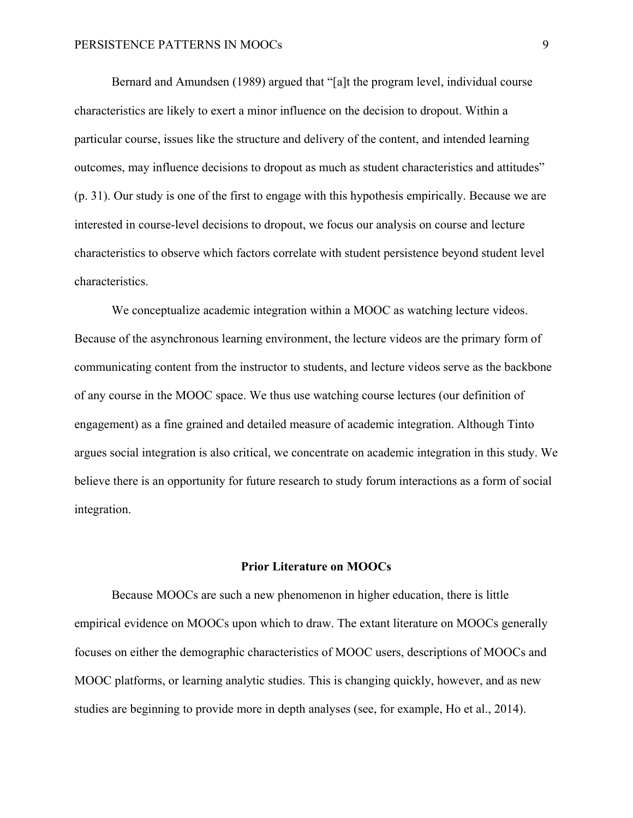Bernard and Amundsen (1989) argued that "[a]t the program level, individual course characteristics are likely to exert a minor influence on the decision to dropout. Within a particular course, issues like the structure and delivery of the content, and intended learning outcomes, may influence decisions to dropout as much as student characteristics and attitudes" (p. 31). Our study is one of the first to engage with this hypothesis empirically. Because we are interested in course-level decisions to dropout, we focus our analysis on course and lecture characteristics to observe which factors correlate with student persistence beyond student level characteristics.

We conceptualize academic integration within a MOOC as watching lecture videos. Because of the asynchronous learning environment, the lecture videos are the primary form of communicating content from the instructor to students, and lecture videos serve as the backbone of any course in the MOOC space. We thus use watching course lectures (our definition of engagement) as a fine grained and detailed measure of academic integration. Although Tinto argues social integration is also critical, we concentrate on academic integration in this study. We believe there is an opportunity for future research to study forum interactions as a form of social integration.

#### **Prior Literature on MOOCs**

Because MOOCs are such a new phenomenon in higher education, there is little empirical evidence on MOOCs upon which to draw. The extant literature on MOOCs generally focuses on either the demographic characteristics of MOOC users, descriptions of MOOCs and MOOC platforms, or learning analytic studies. This is changing quickly, however, and as new studies are beginning to provide more in depth analyses (see, for example, Ho et al., 2014).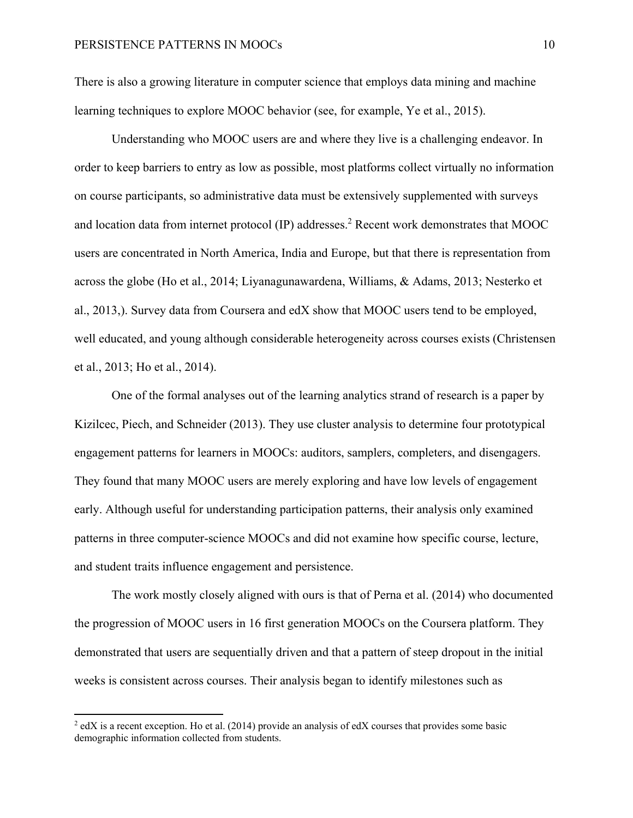There is also a growing literature in computer science that employs data mining and machine learning techniques to explore MOOC behavior (see, for example, Ye et al., 2015).

Understanding who MOOC users are and where they live is a challenging endeavor. In order to keep barriers to entry as low as possible, most platforms collect virtually no information on course participants, so administrative data must be extensively supplemented with surveys and location data from internet protocol (IP) addresses.<sup>2</sup> Recent work demonstrates that MOOC users are concentrated in North America, India and Europe, but that there is representation from across the globe (Ho et al., 2014; Liyanagunawardena, Williams, & Adams, 2013; Nesterko et al., 2013,). Survey data from Coursera and edX show that MOOC users tend to be employed, well educated, and young although considerable heterogeneity across courses exists (Christensen et al., 2013; Ho et al., 2014).

One of the formal analyses out of the learning analytics strand of research is a paper by Kizilcec, Piech, and Schneider (2013). They use cluster analysis to determine four prototypical engagement patterns for learners in MOOCs: auditors, samplers, completers, and disengagers. They found that many MOOC users are merely exploring and have low levels of engagement early. Although useful for understanding participation patterns, their analysis only examined patterns in three computer-science MOOCs and did not examine how specific course, lecture, and student traits influence engagement and persistence.

The work mostly closely aligned with ours is that of Perna et al. (2014) who documented the progression of MOOC users in 16 first generation MOOCs on the Coursera platform. They demonstrated that users are sequentially driven and that a pattern of steep dropout in the initial weeks is consistent across courses. Their analysis began to identify milestones such as

 $^2$  edX is a recent exception. Ho et al. (2014) provide an analysis of edX courses that provides some basic demographic information collected from students.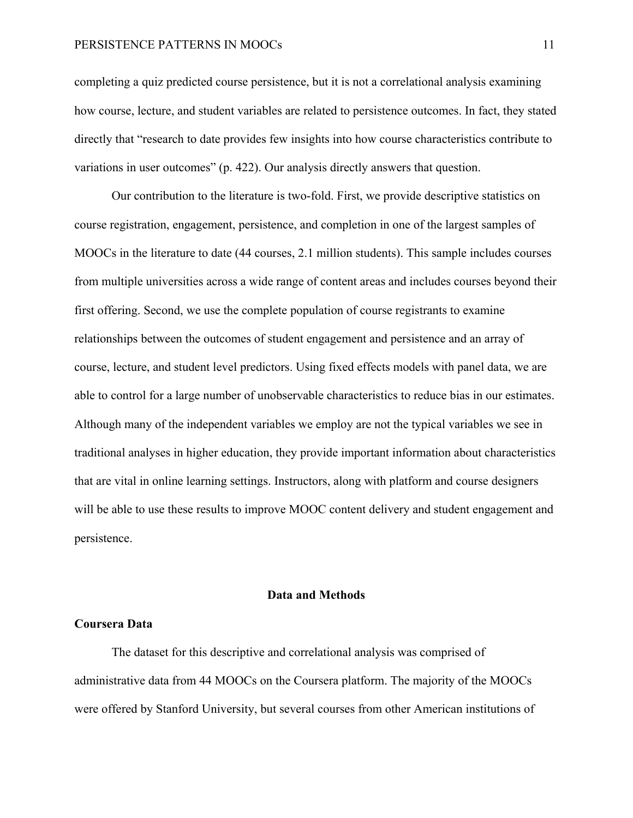completing a quiz predicted course persistence, but it is not a correlational analysis examining how course, lecture, and student variables are related to persistence outcomes. In fact, they stated directly that "research to date provides few insights into how course characteristics contribute to variations in user outcomes" (p. 422). Our analysis directly answers that question.

Our contribution to the literature is two-fold. First, we provide descriptive statistics on course registration, engagement, persistence, and completion in one of the largest samples of MOOCs in the literature to date (44 courses, 2.1 million students). This sample includes courses from multiple universities across a wide range of content areas and includes courses beyond their first offering. Second, we use the complete population of course registrants to examine relationships between the outcomes of student engagement and persistence and an array of course, lecture, and student level predictors. Using fixed effects models with panel data, we are able to control for a large number of unobservable characteristics to reduce bias in our estimates. Although many of the independent variables we employ are not the typical variables we see in traditional analyses in higher education, they provide important information about characteristics that are vital in online learning settings. Instructors, along with platform and course designers will be able to use these results to improve MOOC content delivery and student engagement and persistence.

#### **Data and Methods**

### **Coursera Data**

The dataset for this descriptive and correlational analysis was comprised of administrative data from 44 MOOCs on the Coursera platform. The majority of the MOOCs were offered by Stanford University, but several courses from other American institutions of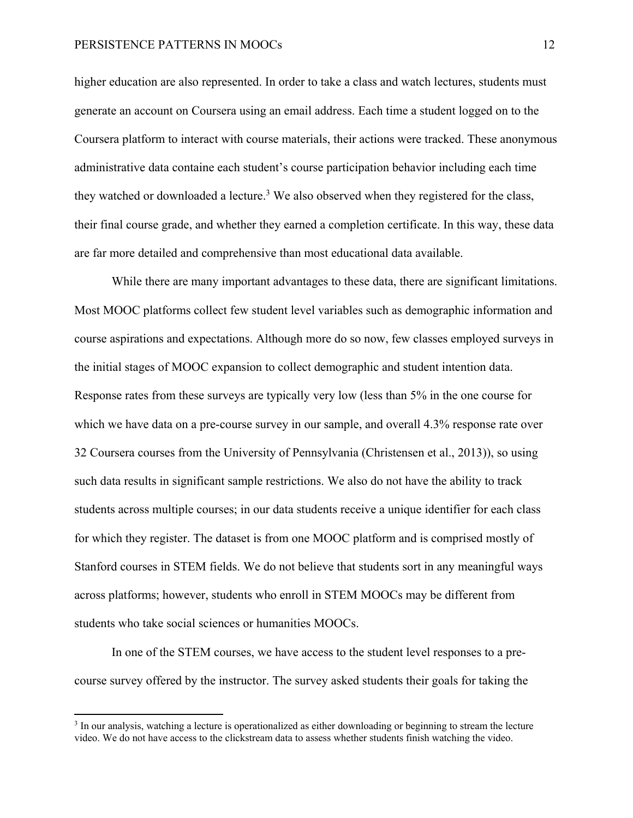higher education are also represented. In order to take a class and watch lectures, students must generate an account on Coursera using an email address. Each time a student logged on to the Coursera platform to interact with course materials, their actions were tracked. These anonymous administrative data containe each student's course participation behavior including each time they watched or downloaded a lecture.<sup>3</sup> We also observed when they registered for the class, their final course grade, and whether they earned a completion certificate. In this way, these data are far more detailed and comprehensive than most educational data available.

While there are many important advantages to these data, there are significant limitations. Most MOOC platforms collect few student level variables such as demographic information and course aspirations and expectations. Although more do so now, few classes employed surveys in the initial stages of MOOC expansion to collect demographic and student intention data. Response rates from these surveys are typically very low (less than 5% in the one course for which we have data on a pre-course survey in our sample, and overall 4.3% response rate over 32 Coursera courses from the University of Pennsylvania (Christensen et al., 2013)), so using such data results in significant sample restrictions. We also do not have the ability to track students across multiple courses; in our data students receive a unique identifier for each class for which they register. The dataset is from one MOOC platform and is comprised mostly of Stanford courses in STEM fields. We do not believe that students sort in any meaningful ways across platforms; however, students who enroll in STEM MOOCs may be different from students who take social sciences or humanities MOOCs.

In one of the STEM courses, we have access to the student level responses to a precourse survey offered by the instructor. The survey asked students their goals for taking the

<sup>&</sup>lt;sup>3</sup> In our analysis, watching a lecture is operationalized as either downloading or beginning to stream the lecture video. We do not have access to the clickstream data to assess whether students finish watching the video.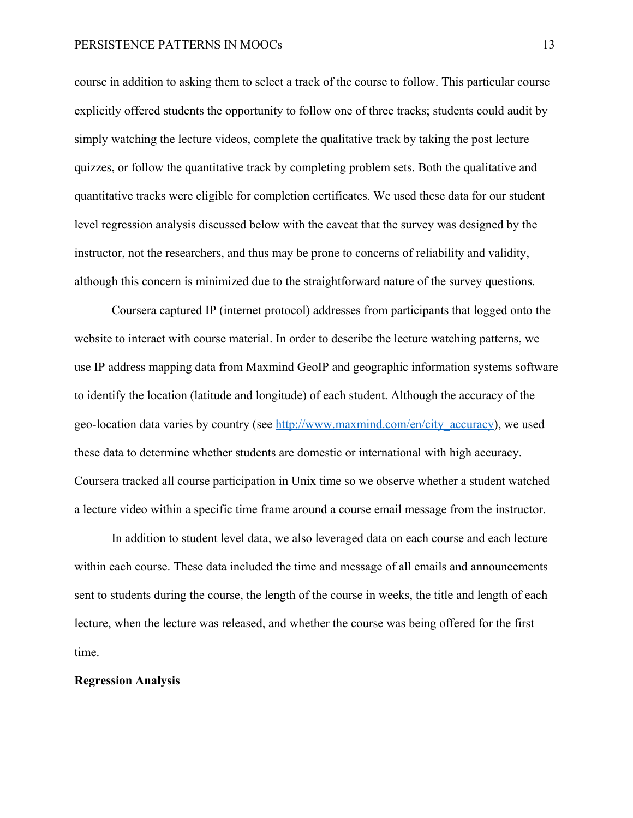course in addition to asking them to select a track of the course to follow. This particular course explicitly offered students the opportunity to follow one of three tracks; students could audit by simply watching the lecture videos, complete the qualitative track by taking the post lecture quizzes, or follow the quantitative track by completing problem sets. Both the qualitative and quantitative tracks were eligible for completion certificates. We used these data for our student level regression analysis discussed below with the caveat that the survey was designed by the instructor, not the researchers, and thus may be prone to concerns of reliability and validity, although this concern is minimized due to the straightforward nature of the survey questions.

Coursera captured IP (internet protocol) addresses from participants that logged onto the website to interact with course material. In order to describe the lecture watching patterns, we use IP address mapping data from Maxmind GeoIP and geographic information systems software to identify the location (latitude and longitude) of each student. Although the accuracy of the geo-location data varies by country (see http://www.maxmind.com/en/city\_accuracy), we used these data to determine whether students are domestic or international with high accuracy. Coursera tracked all course participation in Unix time so we observe whether a student watched a lecture video within a specific time frame around a course email message from the instructor.

In addition to student level data, we also leveraged data on each course and each lecture within each course. These data included the time and message of all emails and announcements sent to students during the course, the length of the course in weeks, the title and length of each lecture, when the lecture was released, and whether the course was being offered for the first time.

#### **Regression Analysis**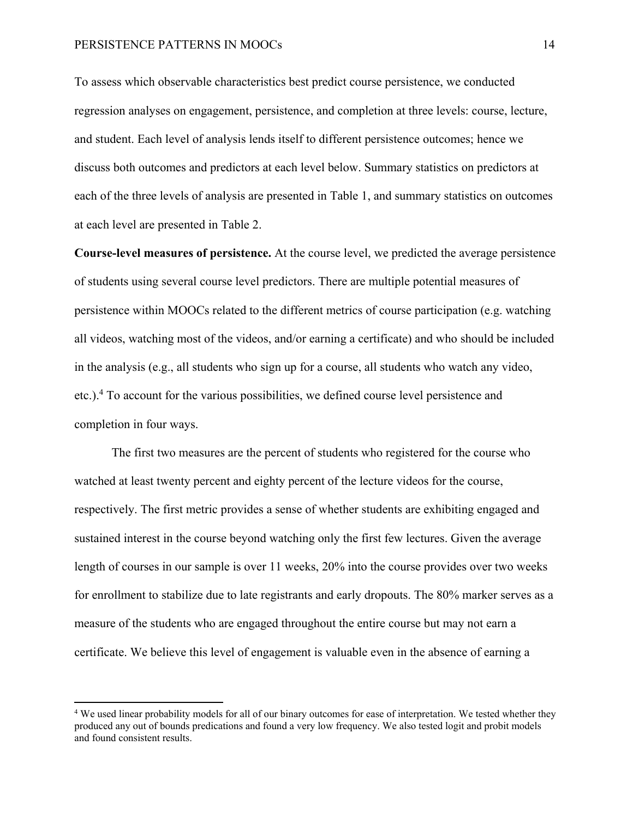To assess which observable characteristics best predict course persistence, we conducted regression analyses on engagement, persistence, and completion at three levels: course, lecture, and student. Each level of analysis lends itself to different persistence outcomes; hence we discuss both outcomes and predictors at each level below. Summary statistics on predictors at each of the three levels of analysis are presented in Table 1, and summary statistics on outcomes at each level are presented in Table 2.

**Course-level measures of persistence.** At the course level, we predicted the average persistence of students using several course level predictors. There are multiple potential measures of persistence within MOOCs related to the different metrics of course participation (e.g. watching all videos, watching most of the videos, and/or earning a certificate) and who should be included in the analysis (e.g., all students who sign up for a course, all students who watch any video, etc.).<sup>4</sup> To account for the various possibilities, we defined course level persistence and completion in four ways.

The first two measures are the percent of students who registered for the course who watched at least twenty percent and eighty percent of the lecture videos for the course, respectively. The first metric provides a sense of whether students are exhibiting engaged and sustained interest in the course beyond watching only the first few lectures. Given the average length of courses in our sample is over 11 weeks, 20% into the course provides over two weeks for enrollment to stabilize due to late registrants and early dropouts. The 80% marker serves as a measure of the students who are engaged throughout the entire course but may not earn a certificate. We believe this level of engagement is valuable even in the absence of earning a

<sup>&</sup>lt;sup>4</sup> We used linear probability models for all of our binary outcomes for ease of interpretation. We tested whether they produced any out of bounds predications and found a very low frequency. We also tested logit and probit models and found consistent results.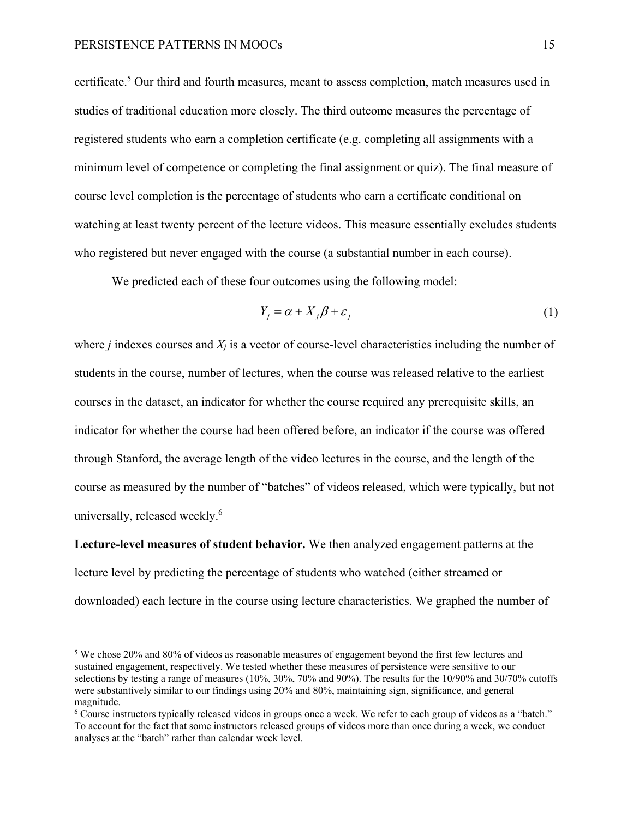certificate.<sup>5</sup> Our third and fourth measures, meant to assess completion, match measures used in studies of traditional education more closely. The third outcome measures the percentage of registered students who earn a completion certificate (e.g. completing all assignments with a minimum level of competence or completing the final assignment or quiz). The final measure of course level completion is the percentage of students who earn a certificate conditional on watching at least twenty percent of the lecture videos. This measure essentially excludes students who registered but never engaged with the course (a substantial number in each course).

We predicted each of these four outcomes using the following model:

$$
Y_j = \alpha + X_j \beta + \varepsilon_j \tag{1}
$$

where *j* indexes courses and *Xj* is a vector of course-level characteristics including the number of students in the course, number of lectures, when the course was released relative to the earliest courses in the dataset, an indicator for whether the course required any prerequisite skills, an indicator for whether the course had been offered before, an indicator if the course was offered through Stanford, the average length of the video lectures in the course, and the length of the course as measured by the number of "batches" of videos released, which were typically, but not universally, released weekly.<sup>6</sup>

**Lecture-level measures of student behavior.** We then analyzed engagement patterns at the lecture level by predicting the percentage of students who watched (either streamed or downloaded) each lecture in the course using lecture characteristics. We graphed the number of

<sup>&</sup>lt;sup>5</sup> We chose 20% and 80% of videos as reasonable measures of engagement beyond the first few lectures and sustained engagement, respectively. We tested whether these measures of persistence were sensitive to our selections by testing a range of measures (10%, 30%, 70% and 90%). The results for the 10/90% and 30/70% cutoffs were substantively similar to our findings using 20% and 80%, maintaining sign, significance, and general magnitude.

<sup>6</sup> Course instructors typically released videos in groups once a week. We refer to each group of videos as a "batch." To account for the fact that some instructors released groups of videos more than once during a week, we conduct analyses at the "batch" rather than calendar week level.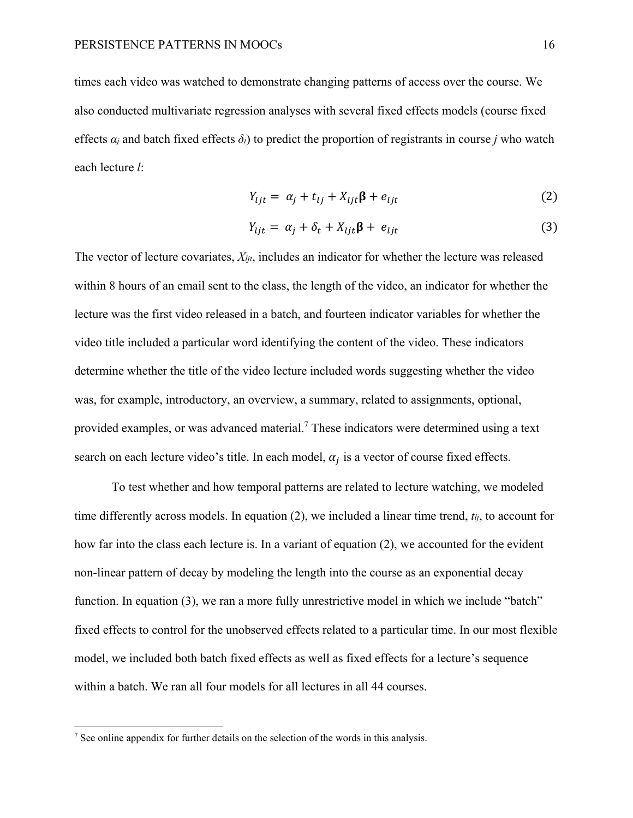times each video was watched to demonstrate changing patterns of access over the course. We also conducted multivariate regression analyses with several fixed effects models (course fixed effects  $\alpha_i$  and batch fixed effects  $\delta_i$ ) to predict the proportion of registrants in course *j* who watch each lecture *l*:

$$
Y_{ijt} = \alpha_j + t_{ij} + X_{ijt}\beta + e_{ijt}
$$
 (2)

$$
Y_{ijt} = \alpha_j + \delta_t + X_{ijt}\beta + e_{ijt}
$$
\n(3)

The vector of lecture covariates, *Xljt*, includes an indicator for whether the lecture was released within 8 hours of an email sent to the class, the length of the video, an indicator for whether the lecture was the first video released in a batch, and fourteen indicator variables for whether the video title included a particular word identifying the content of the video. These indicators determine whether the title of the video lecture included words suggesting whether the video was, for example, introductory, an overview, a summary, related to assignments, optional, provided examples, or was advanced material.<sup>7</sup> These indicators were determined using a text search on each lecture video's title. In each model,  $\alpha_i$  is a vector of course fixed effects.

To test whether and how temporal patterns are related to lecture watching, we modeled time differently across models. In equation (2), we included a linear time trend, *tlj*, to account for how far into the class each lecture is. In a variant of equation (2), we accounted for the evident non-linear pattern of decay by modeling the length into the course as an exponential decay function. In equation (3), we ran a more fully unrestrictive model in which we include "batch" fixed effects to control for the unobserved effects related to a particular time. In our most flexible model, we included both batch fixed effects as well as fixed effects for a lecture's sequence within a batch. We ran all four models for all lectures in all 44 courses.

 $<sup>7</sup>$  See online appendix for further details on the selection of the words in this analysis.</sup>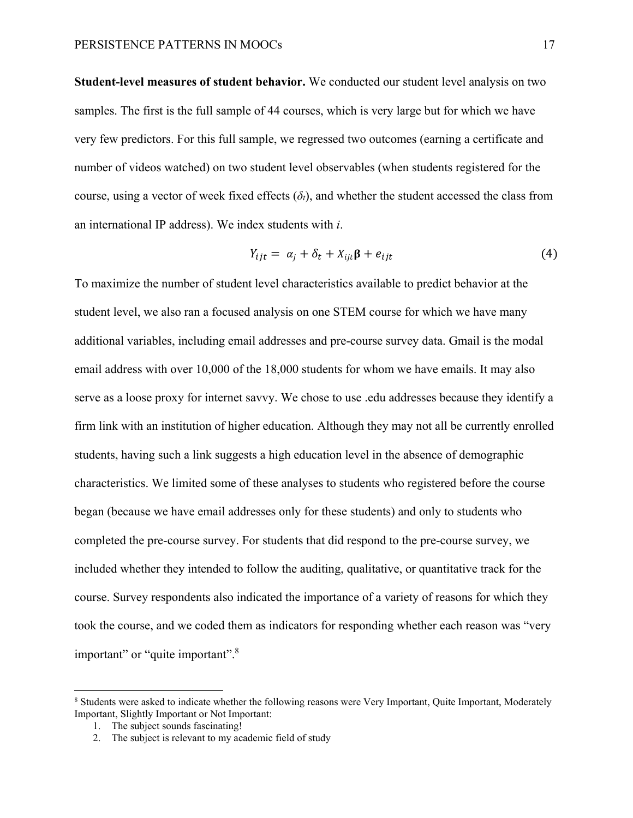**Student-level measures of student behavior.** We conducted our student level analysis on two samples. The first is the full sample of 44 courses, which is very large but for which we have very few predictors. For this full sample, we regressed two outcomes (earning a certificate and number of videos watched) on two student level observables (when students registered for the course, using a vector of week fixed effects  $(\delta_t)$ , and whether the student accessed the class from an international IP address). We index students with *i*.

$$
Y_{ijt} = \alpha_j + \delta_t + X_{ijt}\beta + e_{ijt}
$$
\n<sup>(4)</sup>

To maximize the number of student level characteristics available to predict behavior at the student level, we also ran a focused analysis on one STEM course for which we have many additional variables, including email addresses and pre-course survey data. Gmail is the modal email address with over 10,000 of the 18,000 students for whom we have emails. It may also serve as a loose proxy for internet savvy. We chose to use .edu addresses because they identify a firm link with an institution of higher education. Although they may not all be currently enrolled students, having such a link suggests a high education level in the absence of demographic characteristics. We limited some of these analyses to students who registered before the course began (because we have email addresses only for these students) and only to students who completed the pre-course survey. For students that did respond to the pre-course survey, we included whether they intended to follow the auditing, qualitative, or quantitative track for the course. Survey respondents also indicated the importance of a variety of reasons for which they took the course, and we coded them as indicators for responding whether each reason was "very important" or "quite important".<sup>8</sup>

<sup>&</sup>lt;sup>8</sup> Students were asked to indicate whether the following reasons were Very Important, Quite Important, Moderately Important, Slightly Important or Not Important:

<sup>1.</sup> The subject sounds fascinating!

<sup>2.</sup> The subject is relevant to my academic field of study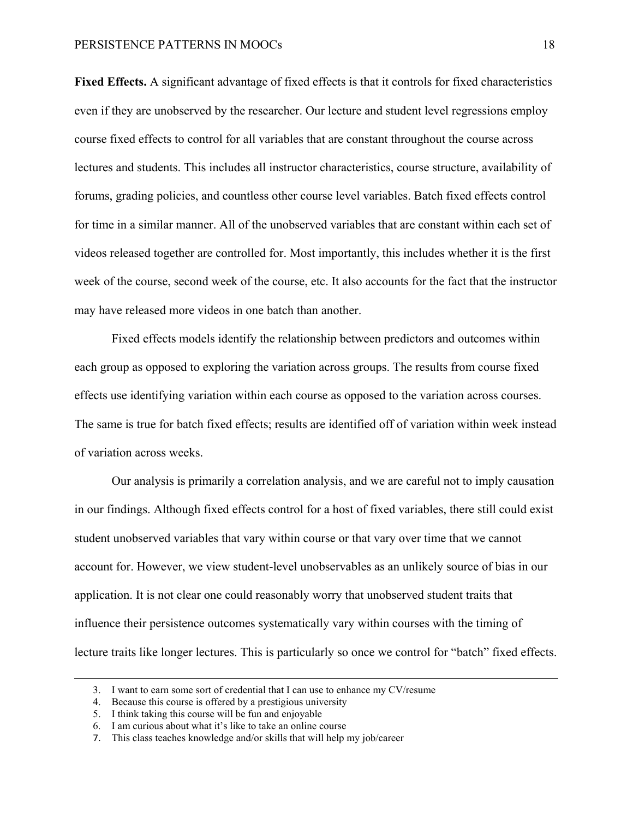**Fixed Effects.** A significant advantage of fixed effects is that it controls for fixed characteristics even if they are unobserved by the researcher. Our lecture and student level regressions employ course fixed effects to control for all variables that are constant throughout the course across lectures and students. This includes all instructor characteristics, course structure, availability of forums, grading policies, and countless other course level variables. Batch fixed effects control for time in a similar manner. All of the unobserved variables that are constant within each set of videos released together are controlled for. Most importantly, this includes whether it is the first week of the course, second week of the course, etc. It also accounts for the fact that the instructor may have released more videos in one batch than another.

Fixed effects models identify the relationship between predictors and outcomes within each group as opposed to exploring the variation across groups. The results from course fixed effects use identifying variation within each course as opposed to the variation across courses. The same is true for batch fixed effects; results are identified off of variation within week instead of variation across weeks.

Our analysis is primarily a correlation analysis, and we are careful not to imply causation in our findings. Although fixed effects control for a host of fixed variables, there still could exist student unobserved variables that vary within course or that vary over time that we cannot account for. However, we view student-level unobservables as an unlikely source of bias in our application. It is not clear one could reasonably worry that unobserved student traits that influence their persistence outcomes systematically vary within courses with the timing of lecture traits like longer lectures. This is particularly so once we control for "batch" fixed effects.

<u> 1989 - Johann Stein, marwolaethau a gweledydd a ganlad y ganlad y ganlad y ganlad y ganlad y ganlad y ganlad</u>

<sup>3.</sup> I want to earn some sort of credential that I can use to enhance my CV/resume

<sup>4.</sup> Because this course is offered by a prestigious university

<sup>5.</sup> I think taking this course will be fun and enjoyable

<sup>6.</sup> I am curious about what it's like to take an online course

<sup>7.</sup> This class teaches knowledge and/or skills that will help my job/career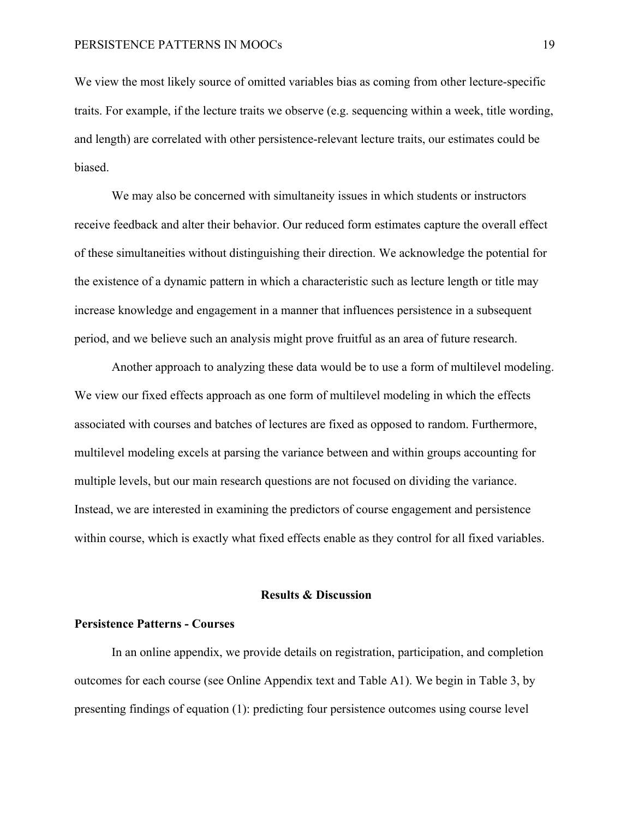We view the most likely source of omitted variables bias as coming from other lecture-specific traits. For example, if the lecture traits we observe (e.g. sequencing within a week, title wording, and length) are correlated with other persistence-relevant lecture traits, our estimates could be biased.

We may also be concerned with simultaneity issues in which students or instructors receive feedback and alter their behavior. Our reduced form estimates capture the overall effect of these simultaneities without distinguishing their direction. We acknowledge the potential for the existence of a dynamic pattern in which a characteristic such as lecture length or title may increase knowledge and engagement in a manner that influences persistence in a subsequent period, and we believe such an analysis might prove fruitful as an area of future research.

Another approach to analyzing these data would be to use a form of multilevel modeling. We view our fixed effects approach as one form of multilevel modeling in which the effects associated with courses and batches of lectures are fixed as opposed to random. Furthermore, multilevel modeling excels at parsing the variance between and within groups accounting for multiple levels, but our main research questions are not focused on dividing the variance. Instead, we are interested in examining the predictors of course engagement and persistence within course, which is exactly what fixed effects enable as they control for all fixed variables.

#### **Results & Discussion**

### **Persistence Patterns - Courses**

In an online appendix, we provide details on registration, participation, and completion outcomes for each course (see Online Appendix text and Table A1). We begin in Table 3, by presenting findings of equation (1): predicting four persistence outcomes using course level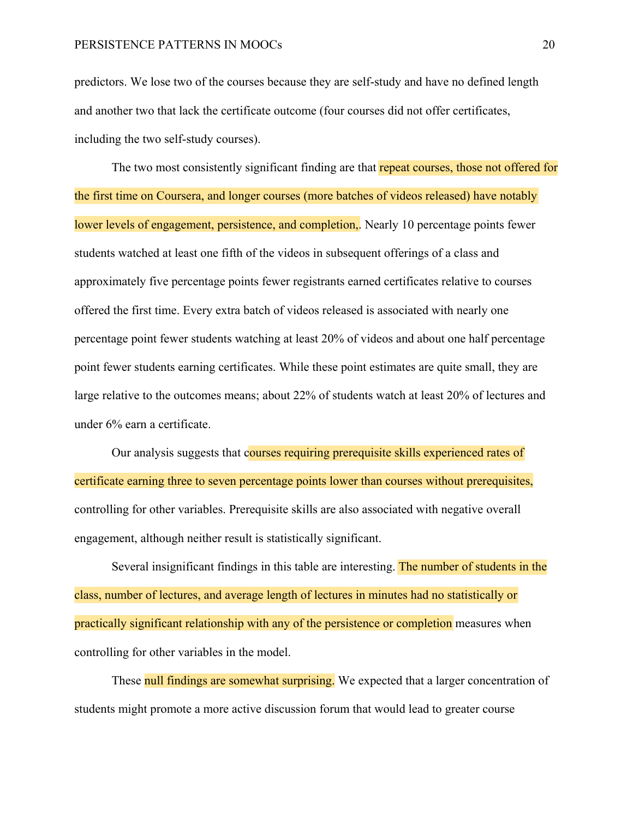predictors. We lose two of the courses because they are self-study and have no defined length and another two that lack the certificate outcome (four courses did not offer certificates, including the two self-study courses).

The two most consistently significant finding are that repeat courses, those not offered for the first time on Coursera, and longer courses (more batches of videos released) have notably lower levels of engagement, persistence, and completion,. Nearly 10 percentage points fewer students watched at least one fifth of the videos in subsequent offerings of a class and approximately five percentage points fewer registrants earned certificates relative to courses offered the first time. Every extra batch of videos released is associated with nearly one percentage point fewer students watching at least 20% of videos and about one half percentage point fewer students earning certificates. While these point estimates are quite small, they are large relative to the outcomes means; about 22% of students watch at least 20% of lectures and under 6% earn a certificate.

Our analysis suggests that courses requiring prerequisite skills experienced rates of certificate earning three to seven percentage points lower than courses without prerequisites, controlling for other variables. Prerequisite skills are also associated with negative overall engagement, although neither result is statistically significant.

Several insignificant findings in this table are interesting. The number of students in the class, number of lectures, and average length of lectures in minutes had no statistically or practically significant relationship with any of the persistence or completion measures when controlling for other variables in the model.

These null findings are somewhat surprising. We expected that a larger concentration of students might promote a more active discussion forum that would lead to greater course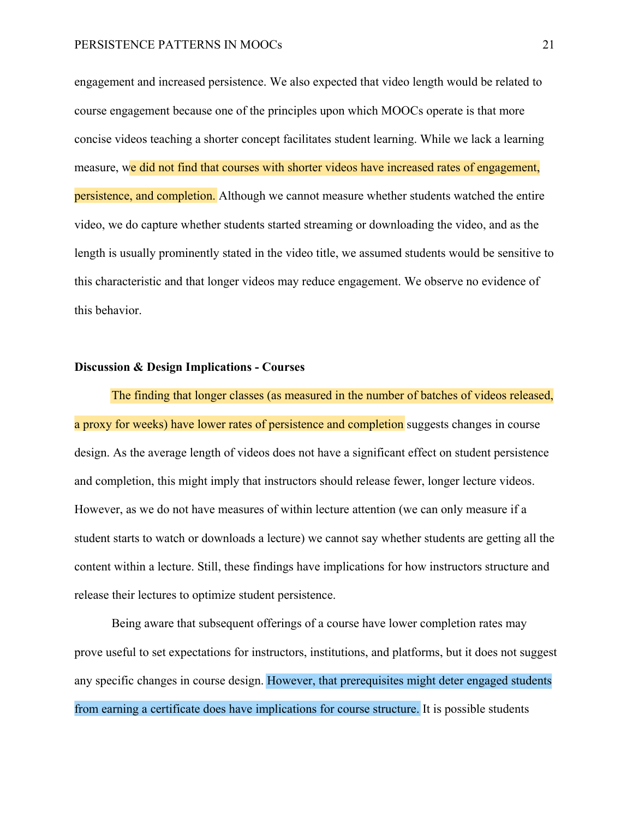engagement and increased persistence. We also expected that video length would be related to course engagement because one of the principles upon which MOOCs operate is that more concise videos teaching a shorter concept facilitates student learning. While we lack a learning measure, we did not find that courses with shorter videos have increased rates of engagement, persistence, and completion. Although we cannot measure whether students watched the entire video, we do capture whether students started streaming or downloading the video, and as the length is usually prominently stated in the video title, we assumed students would be sensitive to this characteristic and that longer videos may reduce engagement. We observe no evidence of this behavior.

#### **Discussion & Design Implications - Courses**

The finding that longer classes (as measured in the number of batches of videos released, a proxy for weeks) have lower rates of persistence and completion suggests changes in course design. As the average length of videos does not have a significant effect on student persistence and completion, this might imply that instructors should release fewer, longer lecture videos. However, as we do not have measures of within lecture attention (we can only measure if a student starts to watch or downloads a lecture) we cannot say whether students are getting all the content within a lecture. Still, these findings have implications for how instructors structure and release their lectures to optimize student persistence.

Being aware that subsequent offerings of a course have lower completion rates may prove useful to set expectations for instructors, institutions, and platforms, but it does not suggest any specific changes in course design. However, that prerequisites might deter engaged students from earning a certificate does have implications for course structure. It is possible students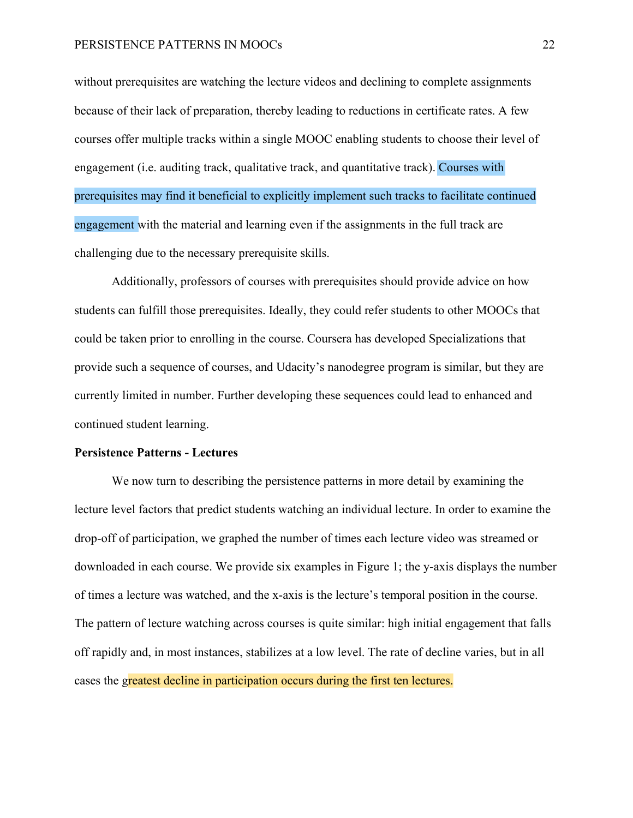without prerequisites are watching the lecture videos and declining to complete assignments because of their lack of preparation, thereby leading to reductions in certificate rates. A few courses offer multiple tracks within a single MOOC enabling students to choose their level of engagement (i.e. auditing track, qualitative track, and quantitative track). Courses with prerequisites may find it beneficial to explicitly implement such tracks to facilitate continued engagement with the material and learning even if the assignments in the full track are challenging due to the necessary prerequisite skills.

Additionally, professors of courses with prerequisites should provide advice on how students can fulfill those prerequisites. Ideally, they could refer students to other MOOCs that could be taken prior to enrolling in the course. Coursera has developed Specializations that provide such a sequence of courses, and Udacity's nanodegree program is similar, but they are currently limited in number. Further developing these sequences could lead to enhanced and continued student learning.

#### **Persistence Patterns - Lectures**

We now turn to describing the persistence patterns in more detail by examining the lecture level factors that predict students watching an individual lecture. In order to examine the drop-off of participation, we graphed the number of times each lecture video was streamed or downloaded in each course. We provide six examples in Figure 1; the y-axis displays the number of times a lecture was watched, and the x-axis is the lecture's temporal position in the course. The pattern of lecture watching across courses is quite similar: high initial engagement that falls off rapidly and, in most instances, stabilizes at a low level. The rate of decline varies, but in all cases the greatest decline in participation occurs during the first ten lectures.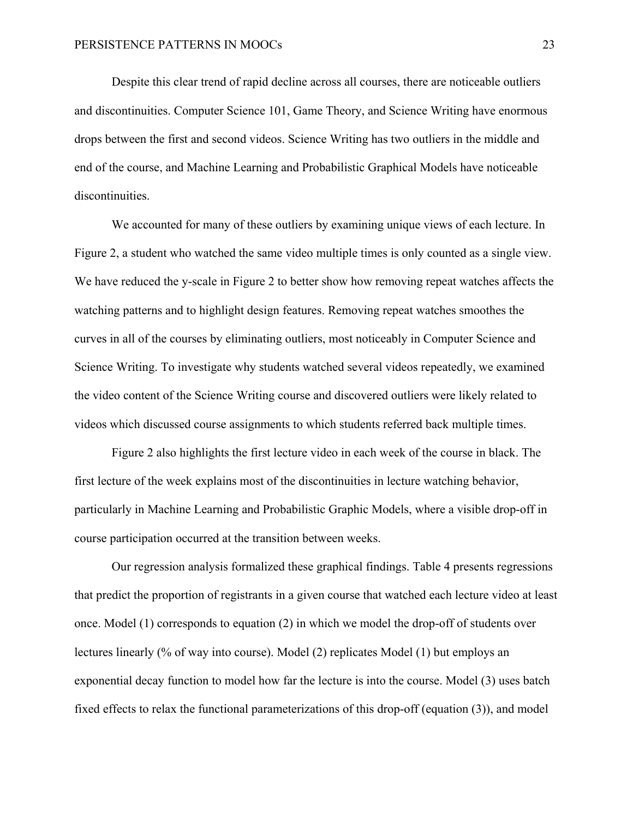Despite this clear trend of rapid decline across all courses, there are noticeable outliers and discontinuities. Computer Science 101, Game Theory, and Science Writing have enormous drops between the first and second videos. Science Writing has two outliers in the middle and end of the course, and Machine Learning and Probabilistic Graphical Models have noticeable discontinuities.

We accounted for many of these outliers by examining unique views of each lecture. In Figure 2, a student who watched the same video multiple times is only counted as a single view. We have reduced the y-scale in Figure 2 to better show how removing repeat watches affects the watching patterns and to highlight design features. Removing repeat watches smoothes the curves in all of the courses by eliminating outliers, most noticeably in Computer Science and Science Writing. To investigate why students watched several videos repeatedly, we examined the video content of the Science Writing course and discovered outliers were likely related to videos which discussed course assignments to which students referred back multiple times.

Figure 2 also highlights the first lecture video in each week of the course in black. The first lecture of the week explains most of the discontinuities in lecture watching behavior, particularly in Machine Learning and Probabilistic Graphic Models, where a visible drop-off in course participation occurred at the transition between weeks.

Our regression analysis formalized these graphical findings. Table 4 presents regressions that predict the proportion of registrants in a given course that watched each lecture video at least once. Model (1) corresponds to equation (2) in which we model the drop-off of students over lectures linearly (% of way into course). Model (2) replicates Model (1) but employs an exponential decay function to model how far the lecture is into the course. Model (3) uses batch fixed effects to relax the functional parameterizations of this drop-off (equation (3)), and model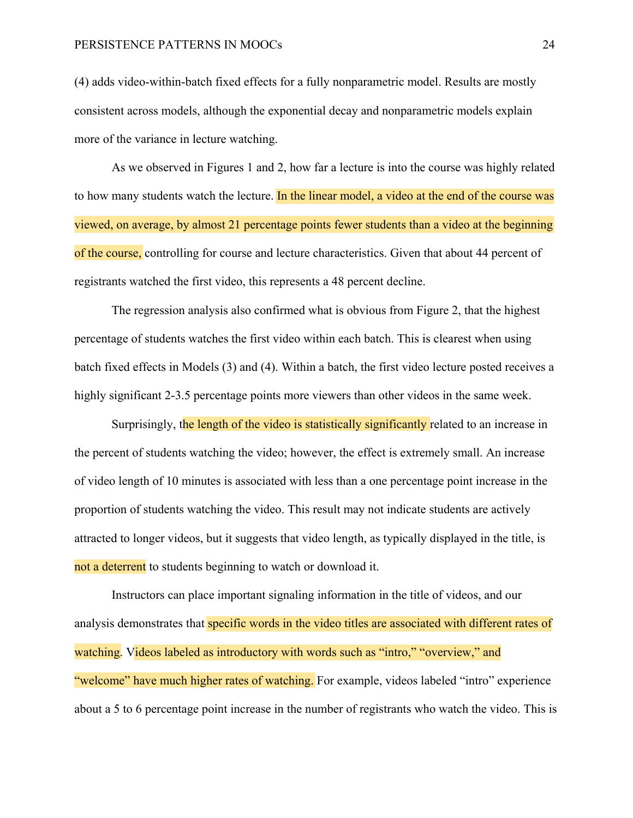(4) adds video-within-batch fixed effects for a fully nonparametric model. Results are mostly consistent across models, although the exponential decay and nonparametric models explain more of the variance in lecture watching.

As we observed in Figures 1 and 2, how far a lecture is into the course was highly related to how many students watch the lecture. In the linear model, a video at the end of the course was viewed, on average, by almost 21 percentage points fewer students than a video at the beginning of the course, controlling for course and lecture characteristics. Given that about 44 percent of registrants watched the first video, this represents a 48 percent decline.

The regression analysis also confirmed what is obvious from Figure 2, that the highest percentage of students watches the first video within each batch. This is clearest when using batch fixed effects in Models (3) and (4). Within a batch, the first video lecture posted receives a highly significant 2-3.5 percentage points more viewers than other videos in the same week.

Surprisingly, the length of the video is statistically significantly related to an increase in the percent of students watching the video; however, the effect is extremely small. An increase of video length of 10 minutes is associated with less than a one percentage point increase in the proportion of students watching the video. This result may not indicate students are actively attracted to longer videos, but it suggests that video length, as typically displayed in the title, is not a deterrent to students beginning to watch or download it.

Instructors can place important signaling information in the title of videos, and our analysis demonstrates that specific words in the video titles are associated with different rates of watching. Videos labeled as introductory with words such as "intro," "overview," and "welcome" have much higher rates of watching. For example, videos labeled "intro" experience about a 5 to 6 percentage point increase in the number of registrants who watch the video. This is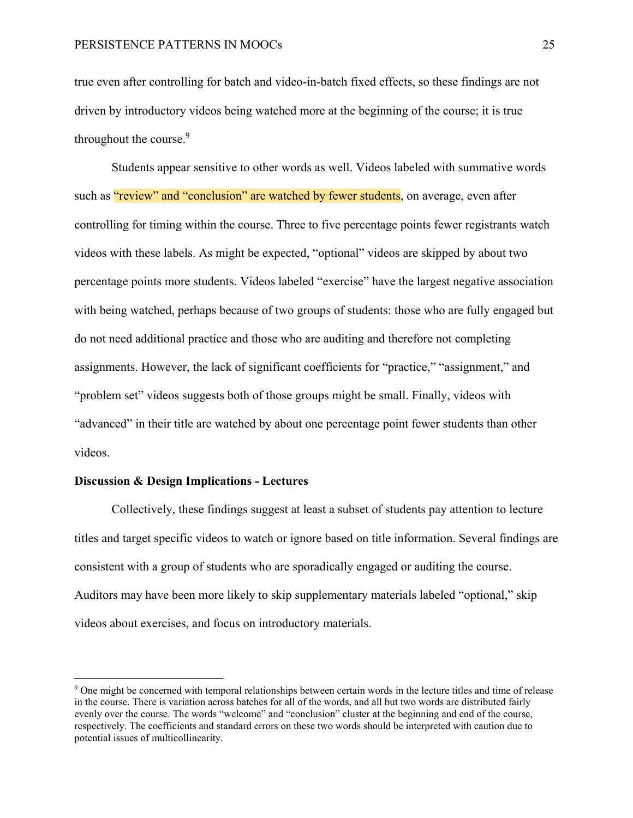true even after controlling for batch and video-in-batch fixed effects, so these findings are not driven by introductory videos being watched more at the beginning of the course; it is true throughout the course.<sup>9</sup>

Students appear sensitive to other words as well. Videos labeled with summative words such as "review" and "conclusion" are watched by fewer students, on average, even after controlling for timing within the course. Three to five percentage points fewer registrants watch videos with these labels. As might be expected, "optional" videos are skipped by about two percentage points more students. Videos labeled "exercise" have the largest negative association with being watched, perhaps because of two groups of students: those who are fully engaged but do not need additional practice and those who are auditing and therefore not completing assignments. However, the lack of significant coefficients for "practice," "assignment," and "problem set" videos suggests both of those groups might be small. Finally, videos with "advanced" in their title are watched by about one percentage point fewer students than other videos.

#### **Discussion & Design Implications - Lectures**

Collectively, these findings suggest at least a subset of students pay attention to lecture titles and target specific videos to watch or ignore based on title information. Several findings are consistent with a group of students who are sporadically engaged or auditing the course. Auditors may have been more likely to skip supplementary materials labeled "optional," skip videos about exercises, and focus on introductory materials.

<sup>&</sup>lt;sup>9</sup> One might be concerned with temporal relationships between certain words in the lecture titles and time of release in the course. There is variation across batches for all of the words, and all but two words are distributed fairly evenly over the course. The words "welcome" and "conclusion" cluster at the beginning and end of the course, respectively. The coefficients and standard errors on these two words should be interpreted with caution due to potential issues of multicollinearity.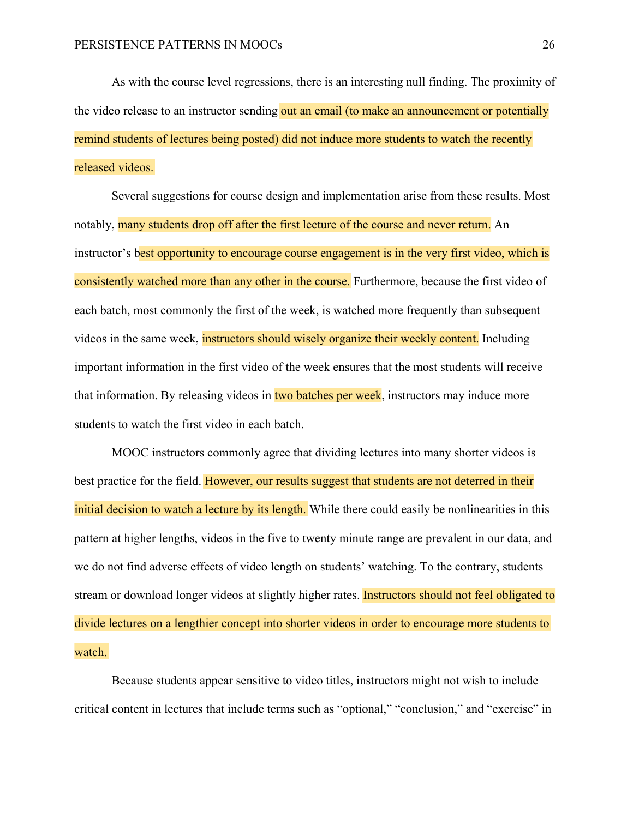As with the course level regressions, there is an interesting null finding. The proximity of the video release to an instructor sending out an email (to make an announcement or potentially remind students of lectures being posted) did not induce more students to watch the recently released videos.

Several suggestions for course design and implementation arise from these results. Most notably, many students drop off after the first lecture of the course and never return. An instructor's best opportunity to encourage course engagement is in the very first video, which is consistently watched more than any other in the course. Furthermore, because the first video of each batch, most commonly the first of the week, is watched more frequently than subsequent videos in the same week, instructors should wisely organize their weekly content. Including important information in the first video of the week ensures that the most students will receive that information. By releasing videos in two batches per week, instructors may induce more students to watch the first video in each batch.

MOOC instructors commonly agree that dividing lectures into many shorter videos is best practice for the field. However, our results suggest that students are not deterred in their initial decision to watch a lecture by its length. While there could easily be nonlinearities in this pattern at higher lengths, videos in the five to twenty minute range are prevalent in our data, and we do not find adverse effects of video length on students' watching. To the contrary, students stream or download longer videos at slightly higher rates. Instructors should not feel obligated to divide lectures on a lengthier concept into shorter videos in order to encourage more students to watch.

Because students appear sensitive to video titles, instructors might not wish to include critical content in lectures that include terms such as "optional," "conclusion," and "exercise" in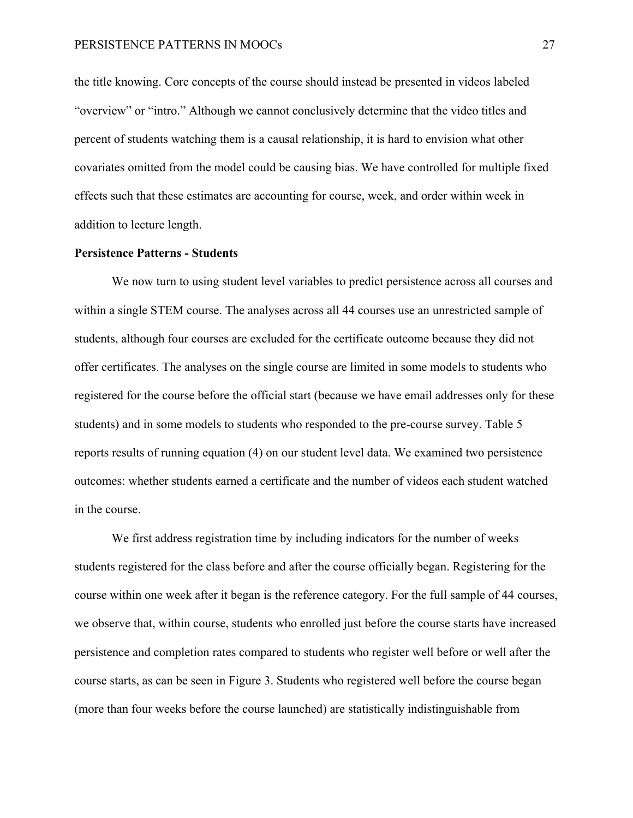the title knowing. Core concepts of the course should instead be presented in videos labeled "overview" or "intro." Although we cannot conclusively determine that the video titles and percent of students watching them is a causal relationship, it is hard to envision what other covariates omitted from the model could be causing bias. We have controlled for multiple fixed effects such that these estimates are accounting for course, week, and order within week in addition to lecture length.

#### **Persistence Patterns - Students**

We now turn to using student level variables to predict persistence across all courses and within a single STEM course. The analyses across all 44 courses use an unrestricted sample of students, although four courses are excluded for the certificate outcome because they did not offer certificates. The analyses on the single course are limited in some models to students who registered for the course before the official start (because we have email addresses only for these students) and in some models to students who responded to the pre-course survey. Table 5 reports results of running equation (4) on our student level data. We examined two persistence outcomes: whether students earned a certificate and the number of videos each student watched in the course.

We first address registration time by including indicators for the number of weeks students registered for the class before and after the course officially began. Registering for the course within one week after it began is the reference category. For the full sample of 44 courses, we observe that, within course, students who enrolled just before the course starts have increased persistence and completion rates compared to students who register well before or well after the course starts, as can be seen in Figure 3. Students who registered well before the course began (more than four weeks before the course launched) are statistically indistinguishable from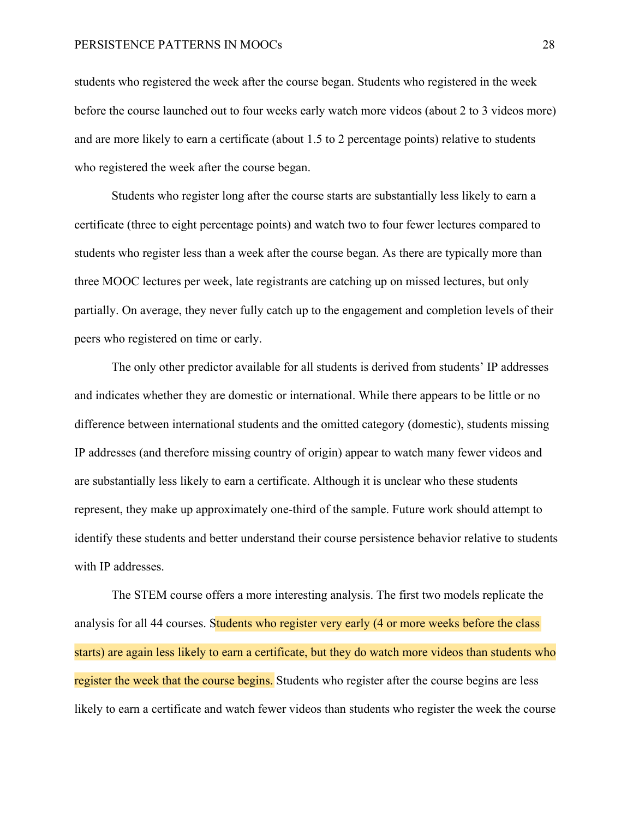students who registered the week after the course began. Students who registered in the week before the course launched out to four weeks early watch more videos (about 2 to 3 videos more) and are more likely to earn a certificate (about 1.5 to 2 percentage points) relative to students who registered the week after the course began.

Students who register long after the course starts are substantially less likely to earn a certificate (three to eight percentage points) and watch two to four fewer lectures compared to students who register less than a week after the course began. As there are typically more than three MOOC lectures per week, late registrants are catching up on missed lectures, but only partially. On average, they never fully catch up to the engagement and completion levels of their peers who registered on time or early.

The only other predictor available for all students is derived from students' IP addresses and indicates whether they are domestic or international. While there appears to be little or no difference between international students and the omitted category (domestic), students missing IP addresses (and therefore missing country of origin) appear to watch many fewer videos and are substantially less likely to earn a certificate. Although it is unclear who these students represent, they make up approximately one-third of the sample. Future work should attempt to identify these students and better understand their course persistence behavior relative to students with IP addresses.

The STEM course offers a more interesting analysis. The first two models replicate the analysis for all 44 courses. Students who register very early (4 or more weeks before the class starts) are again less likely to earn a certificate, but they do watch more videos than students who register the week that the course begins. Students who register after the course begins are less likely to earn a certificate and watch fewer videos than students who register the week the course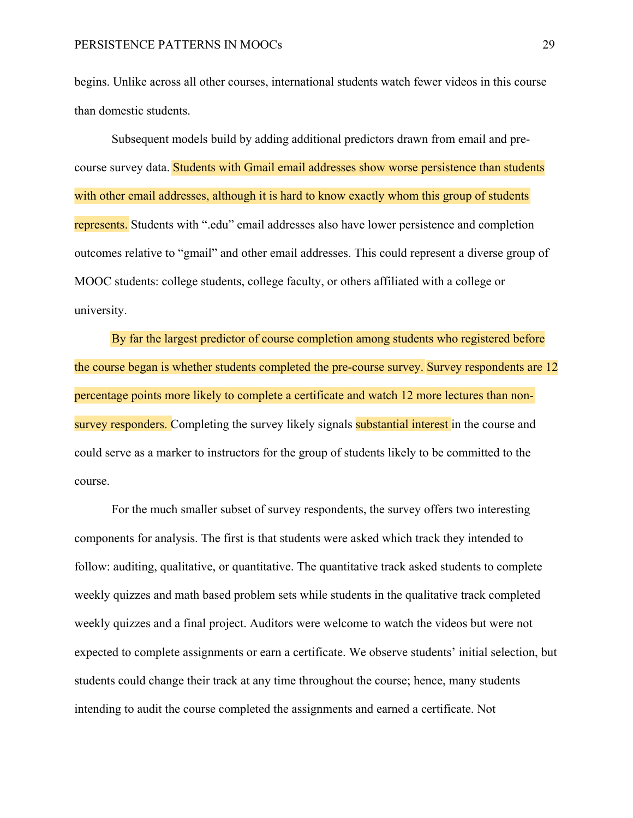begins. Unlike across all other courses, international students watch fewer videos in this course than domestic students.

Subsequent models build by adding additional predictors drawn from email and precourse survey data. Students with Gmail email addresses show worse persistence than students with other email addresses, although it is hard to know exactly whom this group of students represents. Students with ".edu" email addresses also have lower persistence and completion outcomes relative to "gmail" and other email addresses. This could represent a diverse group of MOOC students: college students, college faculty, or others affiliated with a college or university.

By far the largest predictor of course completion among students who registered before the course began is whether students completed the pre-course survey. Survey respondents are 12 percentage points more likely to complete a certificate and watch 12 more lectures than nonsurvey responders. Completing the survey likely signals substantial interest in the course and could serve as a marker to instructors for the group of students likely to be committed to the course.

For the much smaller subset of survey respondents, the survey offers two interesting components for analysis. The first is that students were asked which track they intended to follow: auditing, qualitative, or quantitative. The quantitative track asked students to complete weekly quizzes and math based problem sets while students in the qualitative track completed weekly quizzes and a final project. Auditors were welcome to watch the videos but were not expected to complete assignments or earn a certificate. We observe students' initial selection, but students could change their track at any time throughout the course; hence, many students intending to audit the course completed the assignments and earned a certificate. Not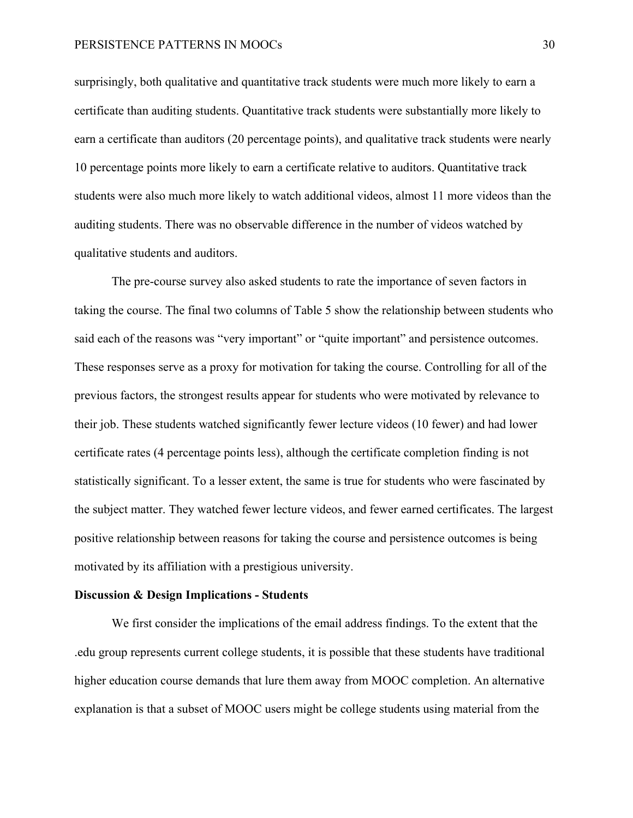surprisingly, both qualitative and quantitative track students were much more likely to earn a certificate than auditing students. Quantitative track students were substantially more likely to earn a certificate than auditors (20 percentage points), and qualitative track students were nearly 10 percentage points more likely to earn a certificate relative to auditors. Quantitative track students were also much more likely to watch additional videos, almost 11 more videos than the auditing students. There was no observable difference in the number of videos watched by qualitative students and auditors.

The pre-course survey also asked students to rate the importance of seven factors in taking the course. The final two columns of Table 5 show the relationship between students who said each of the reasons was "very important" or "quite important" and persistence outcomes. These responses serve as a proxy for motivation for taking the course. Controlling for all of the previous factors, the strongest results appear for students who were motivated by relevance to their job. These students watched significantly fewer lecture videos (10 fewer) and had lower certificate rates (4 percentage points less), although the certificate completion finding is not statistically significant. To a lesser extent, the same is true for students who were fascinated by the subject matter. They watched fewer lecture videos, and fewer earned certificates. The largest positive relationship between reasons for taking the course and persistence outcomes is being motivated by its affiliation with a prestigious university.

#### **Discussion & Design Implications - Students**

We first consider the implications of the email address findings. To the extent that the .edu group represents current college students, it is possible that these students have traditional higher education course demands that lure them away from MOOC completion. An alternative explanation is that a subset of MOOC users might be college students using material from the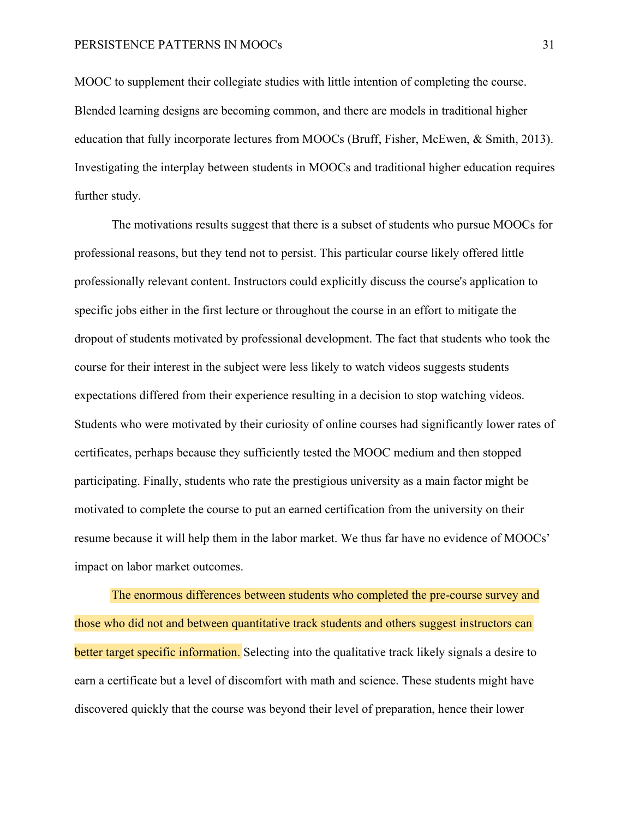MOOC to supplement their collegiate studies with little intention of completing the course. Blended learning designs are becoming common, and there are models in traditional higher education that fully incorporate lectures from MOOCs (Bruff, Fisher, McEwen, & Smith, 2013). Investigating the interplay between students in MOOCs and traditional higher education requires further study.

The motivations results suggest that there is a subset of students who pursue MOOCs for professional reasons, but they tend not to persist. This particular course likely offered little professionally relevant content. Instructors could explicitly discuss the course's application to specific jobs either in the first lecture or throughout the course in an effort to mitigate the dropout of students motivated by professional development. The fact that students who took the course for their interest in the subject were less likely to watch videos suggests students expectations differed from their experience resulting in a decision to stop watching videos. Students who were motivated by their curiosity of online courses had significantly lower rates of certificates, perhaps because they sufficiently tested the MOOC medium and then stopped participating. Finally, students who rate the prestigious university as a main factor might be motivated to complete the course to put an earned certification from the university on their resume because it will help them in the labor market. We thus far have no evidence of MOOCs' impact on labor market outcomes.

 The enormous differences between students who completed the pre-course survey and those who did not and between quantitative track students and others suggest instructors can better target specific information. Selecting into the qualitative track likely signals a desire to earn a certificate but a level of discomfort with math and science. These students might have discovered quickly that the course was beyond their level of preparation, hence their lower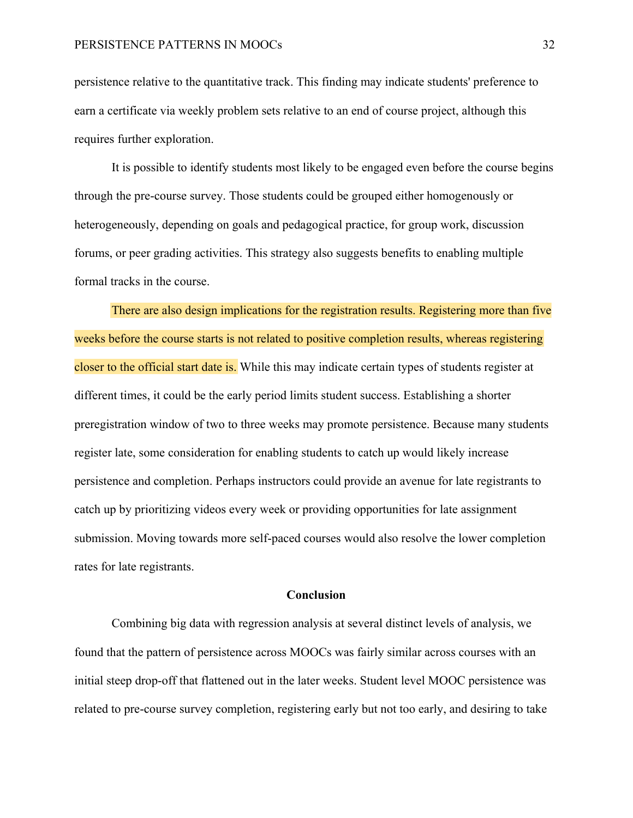persistence relative to the quantitative track. This finding may indicate students' preference to earn a certificate via weekly problem sets relative to an end of course project, although this requires further exploration.

It is possible to identify students most likely to be engaged even before the course begins through the pre-course survey. Those students could be grouped either homogenously or heterogeneously, depending on goals and pedagogical practice, for group work, discussion forums, or peer grading activities. This strategy also suggests benefits to enabling multiple formal tracks in the course.

 There are also design implications for the registration results. Registering more than five weeks before the course starts is not related to positive completion results, whereas registering closer to the official start date is. While this may indicate certain types of students register at different times, it could be the early period limits student success. Establishing a shorter preregistration window of two to three weeks may promote persistence. Because many students register late, some consideration for enabling students to catch up would likely increase persistence and completion. Perhaps instructors could provide an avenue for late registrants to catch up by prioritizing videos every week or providing opportunities for late assignment submission. Moving towards more self-paced courses would also resolve the lower completion rates for late registrants.

#### **Conclusion**

Combining big data with regression analysis at several distinct levels of analysis, we found that the pattern of persistence across MOOCs was fairly similar across courses with an initial steep drop-off that flattened out in the later weeks. Student level MOOC persistence was related to pre-course survey completion, registering early but not too early, and desiring to take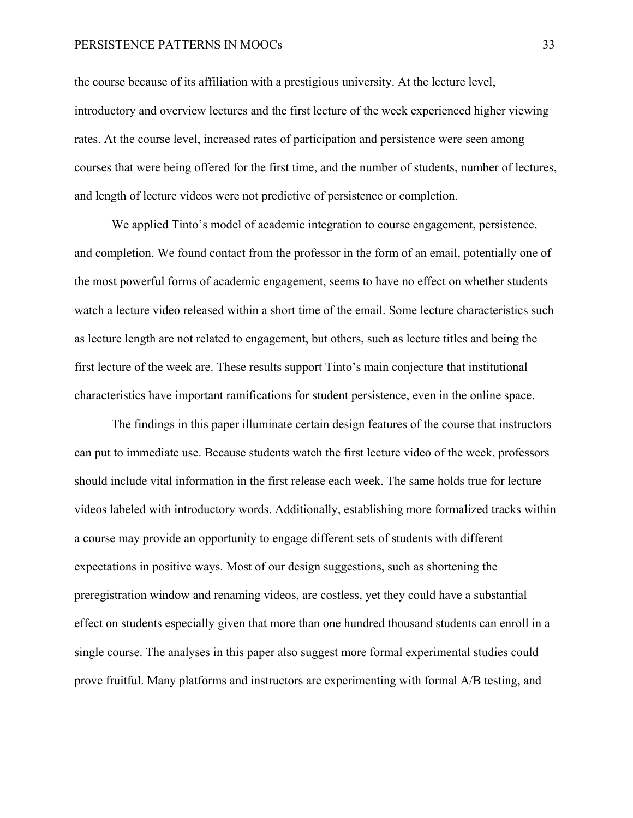the course because of its affiliation with a prestigious university. At the lecture level, introductory and overview lectures and the first lecture of the week experienced higher viewing rates. At the course level, increased rates of participation and persistence were seen among courses that were being offered for the first time, and the number of students, number of lectures, and length of lecture videos were not predictive of persistence or completion.

We applied Tinto's model of academic integration to course engagement, persistence, and completion. We found contact from the professor in the form of an email, potentially one of the most powerful forms of academic engagement, seems to have no effect on whether students watch a lecture video released within a short time of the email. Some lecture characteristics such as lecture length are not related to engagement, but others, such as lecture titles and being the first lecture of the week are. These results support Tinto's main conjecture that institutional characteristics have important ramifications for student persistence, even in the online space.

The findings in this paper illuminate certain design features of the course that instructors can put to immediate use. Because students watch the first lecture video of the week, professors should include vital information in the first release each week. The same holds true for lecture videos labeled with introductory words. Additionally, establishing more formalized tracks within a course may provide an opportunity to engage different sets of students with different expectations in positive ways. Most of our design suggestions, such as shortening the preregistration window and renaming videos, are costless, yet they could have a substantial effect on students especially given that more than one hundred thousand students can enroll in a single course. The analyses in this paper also suggest more formal experimental studies could prove fruitful. Many platforms and instructors are experimenting with formal A/B testing, and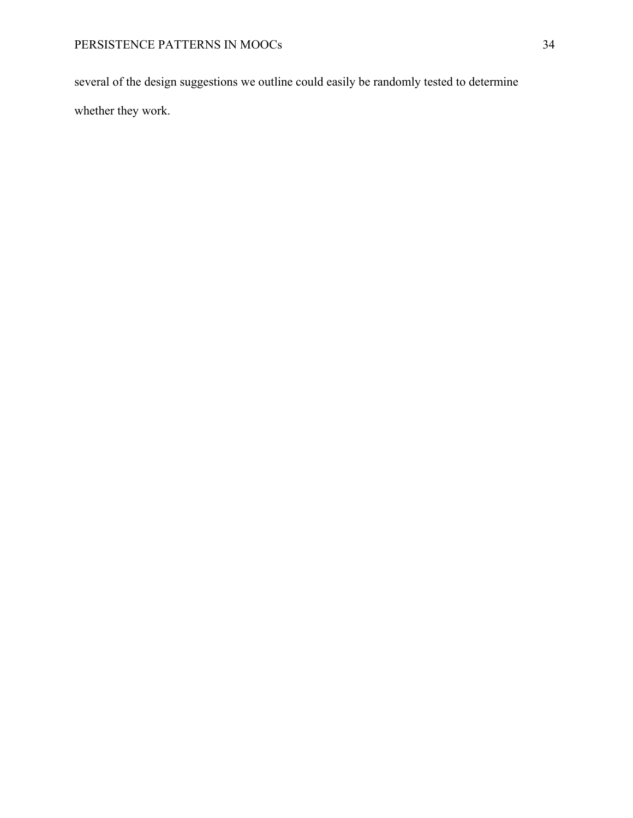several of the design suggestions we outline could easily be randomly tested to determine whether they work.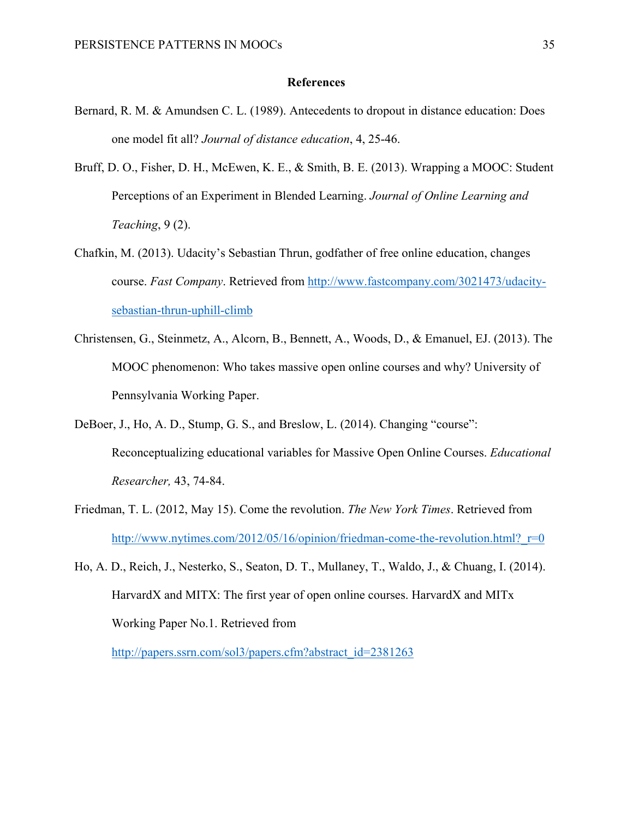#### **References**

- Bernard, R. M. & Amundsen C. L. (1989). Antecedents to dropout in distance education: Does one model fit all? *Journal of distance education*, 4, 25-46.
- Bruff, D. O., Fisher, D. H., McEwen, K. E., & Smith, B. E. (2013). Wrapping a MOOC: Student Perceptions of an Experiment in Blended Learning. *Journal of Online Learning and Teaching*, 9 (2).
- Chafkin, M. (2013). Udacity's Sebastian Thrun, godfather of free online education, changes course. *Fast Company*. Retrieved from http://www.fastcompany.com/3021473/udacitysebastian-thrun-uphill-climb
- Christensen, G., Steinmetz, A., Alcorn, B., Bennett, A., Woods, D., & Emanuel, EJ. (2013). The MOOC phenomenon: Who takes massive open online courses and why? University of Pennsylvania Working Paper.
- DeBoer, J., Ho, A. D., Stump, G. S., and Breslow, L. (2014). Changing "course": Reconceptualizing educational variables for Massive Open Online Courses. *Educational Researcher,* 43, 74-84.
- Friedman, T. L. (2012, May 15). Come the revolution. *The New York Times*. Retrieved from http://www.nytimes.com/2012/05/16/opinion/friedman-come-the-revolution.html? $r=0$
- Ho, A. D., Reich, J., Nesterko, S., Seaton, D. T., Mullaney, T., Waldo, J., & Chuang, I. (2014). HarvardX and MITX: The first year of open online courses. HarvardX and MITx Working Paper No.1. Retrieved from

http://papers.ssrn.com/sol3/papers.cfm?abstract\_id=2381263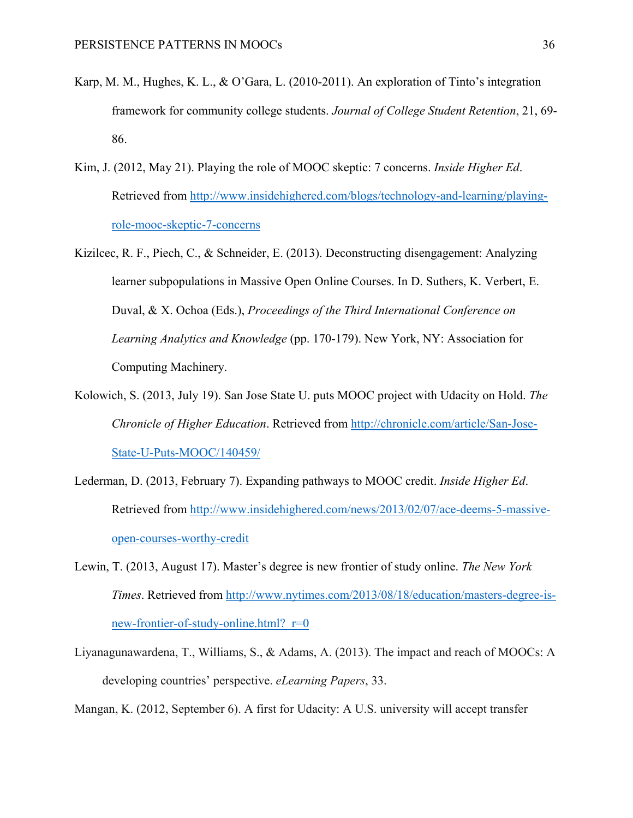- Karp, M. M., Hughes, K. L., & O'Gara, L. (2010-2011). An exploration of Tinto's integration framework for community college students. *Journal of College Student Retention*, 21, 69- 86.
- Kim, J. (2012, May 21). Playing the role of MOOC skeptic: 7 concerns. *Inside Higher Ed*. Retrieved from http://www.insidehighered.com/blogs/technology-and-learning/playingrole-mooc-skeptic-7-concerns
- Kizilcec, R. F., Piech, C., & Schneider, E. (2013). Deconstructing disengagement: Analyzing learner subpopulations in Massive Open Online Courses. In D. Suthers, K. Verbert, E. Duval, & X. Ochoa (Eds.), *Proceedings of the Third International Conference on Learning Analytics and Knowledge* (pp. 170-179). New York, NY: Association for Computing Machinery.
- Kolowich, S. (2013, July 19). San Jose State U. puts MOOC project with Udacity on Hold. *The Chronicle of Higher Education*. Retrieved from http://chronicle.com/article/San-Jose-State-U-Puts-MOOC/140459/
- Lederman, D. (2013, February 7). Expanding pathways to MOOC credit. *Inside Higher Ed*. Retrieved from http://www.insidehighered.com/news/2013/02/07/ace-deems-5-massiveopen-courses-worthy-credit
- Lewin, T. (2013, August 17). Master's degree is new frontier of study online. *The New York Times*. Retrieved from http://www.nytimes.com/2013/08/18/education/masters-degree-isnew-frontier-of-study-online.html? r=0
- Liyanagunawardena, T., Williams, S., & Adams, A. (2013). The impact and reach of MOOCs: A developing countries' perspective. *eLearning Papers*, 33.

Mangan, K. (2012, September 6). A first for Udacity: A U.S. university will accept transfer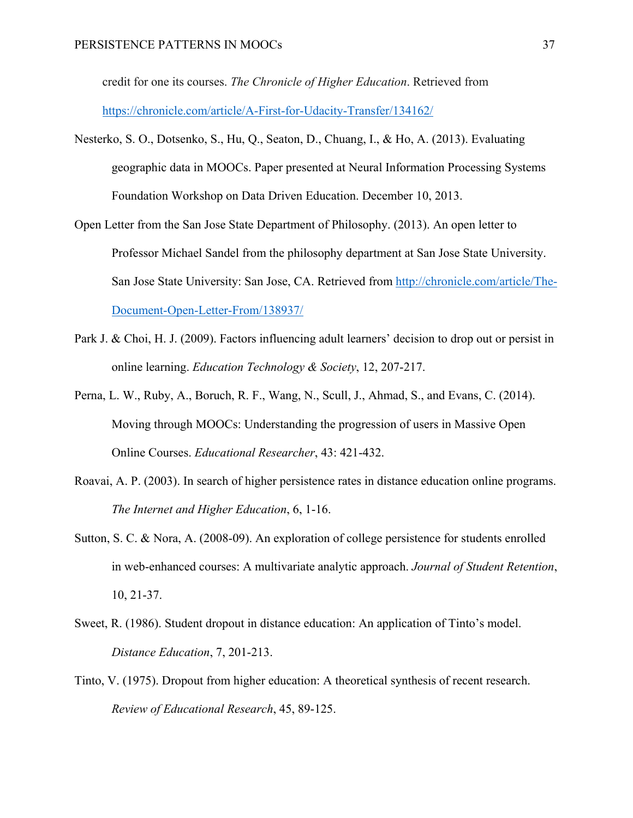credit for one its courses. *The Chronicle of Higher Education*. Retrieved from https://chronicle.com/article/A-First-for-Udacity-Transfer/134162/

- Nesterko, S. O., Dotsenko, S., Hu, Q., Seaton, D., Chuang, I., & Ho, A. (2013). Evaluating geographic data in MOOCs. Paper presented at Neural Information Processing Systems Foundation Workshop on Data Driven Education. December 10, 2013.
- Open Letter from the San Jose State Department of Philosophy. (2013). An open letter to Professor Michael Sandel from the philosophy department at San Jose State University. San Jose State University: San Jose, CA. Retrieved from http://chronicle.com/article/The-Document-Open-Letter-From/138937/
- Park J. & Choi, H. J. (2009). Factors influencing adult learners' decision to drop out or persist in online learning. *Education Technology & Society*, 12, 207-217.
- Perna, L. W., Ruby, A., Boruch, R. F., Wang, N., Scull, J., Ahmad, S., and Evans, C. (2014). Moving through MOOCs: Understanding the progression of users in Massive Open Online Courses. *Educational Researcher*, 43: 421-432.
- Roavai, A. P. (2003). In search of higher persistence rates in distance education online programs. *The Internet and Higher Education*, 6, 1-16.
- Sutton, S. C. & Nora, A. (2008-09). An exploration of college persistence for students enrolled in web-enhanced courses: A multivariate analytic approach. *Journal of Student Retention*, 10, 21-37.
- Sweet, R. (1986). Student dropout in distance education: An application of Tinto's model. *Distance Education*, 7, 201-213.
- Tinto, V. (1975). Dropout from higher education: A theoretical synthesis of recent research. *Review of Educational Research*, 45, 89-125.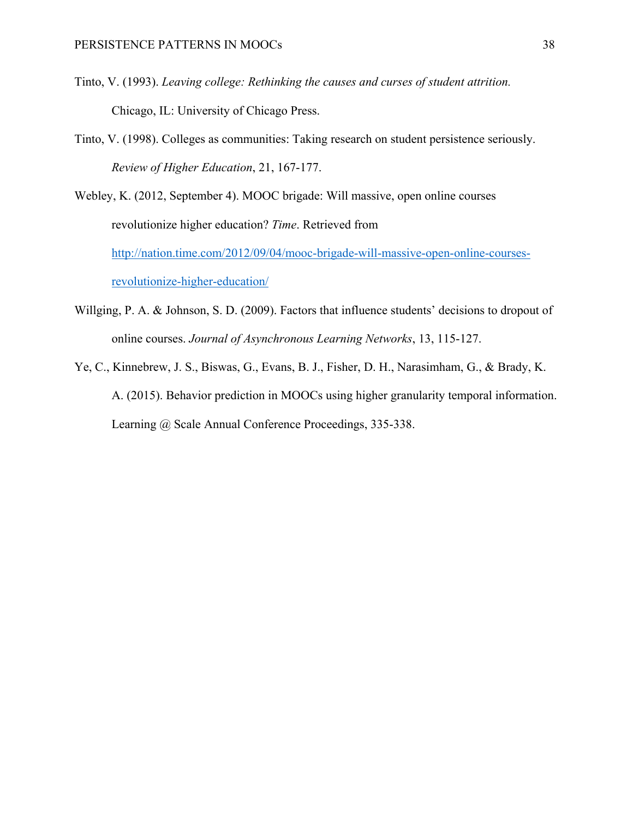- Tinto, V. (1993). *Leaving college: Rethinking the causes and curses of student attrition.* Chicago, IL: University of Chicago Press.
- Tinto, V. (1998). Colleges as communities: Taking research on student persistence seriously. *Review of Higher Education*, 21, 167-177.

Webley, K. (2012, September 4). MOOC brigade: Will massive, open online courses revolutionize higher education? *Time*. Retrieved from http://nation.time.com/2012/09/04/mooc-brigade-will-massive-open-online-coursesrevolutionize-higher-education/

- Willging, P. A. & Johnson, S. D. (2009). Factors that influence students' decisions to dropout of online courses. *Journal of Asynchronous Learning Networks*, 13, 115-127.
- Ye, C., Kinnebrew, J. S., Biswas, G., Evans, B. J., Fisher, D. H., Narasimham, G., & Brady, K. A. (2015). Behavior prediction in MOOCs using higher granularity temporal information. Learning @ Scale Annual Conference Proceedings, 335-338.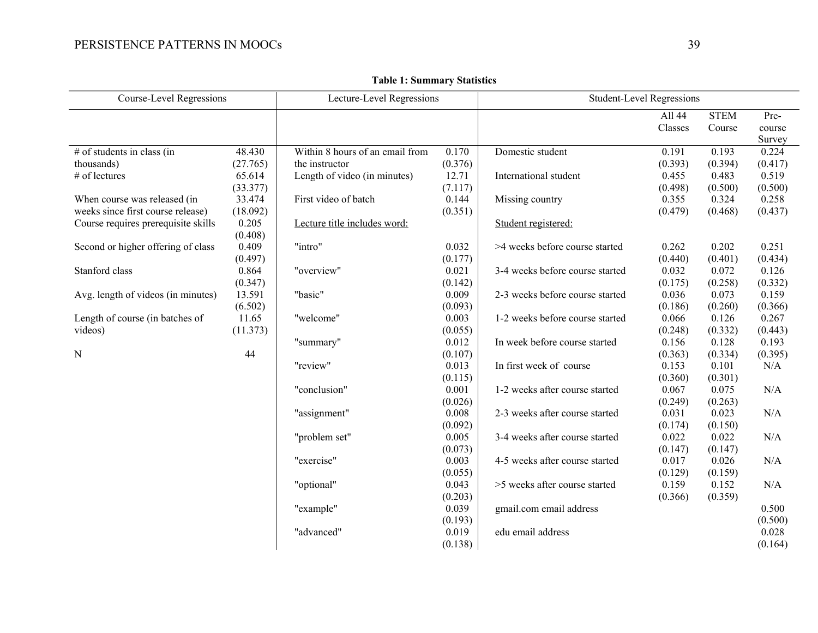| <b>Course-Level Regressions</b>     |          | Lecture-Level Regressions       |                  | <b>Student-Level Regressions</b> |         |             |                  |  |  |  |
|-------------------------------------|----------|---------------------------------|------------------|----------------------------------|---------|-------------|------------------|--|--|--|
|                                     |          |                                 |                  |                                  | All 44  | <b>STEM</b> | Pre-             |  |  |  |
|                                     |          |                                 |                  |                                  | Classes | Course      | course           |  |  |  |
|                                     |          |                                 |                  |                                  |         |             | Survey           |  |  |  |
| # of students in class (in          | 48.430   | Within 8 hours of an email from | 0.170            | Domestic student                 | 0.191   | 0.193       | 0.224            |  |  |  |
| thousands)                          | (27.765) | the instructor                  | (0.376)          |                                  | (0.393) | (0.394)     | (0.417)          |  |  |  |
| # of lectures                       | 65.614   | Length of video (in minutes)    | 12.71            | International student            | 0.455   | 0.483       | 0.519            |  |  |  |
|                                     | (33.377) |                                 | (7.117)          |                                  | (0.498) | (0.500)     | (0.500)          |  |  |  |
| When course was released (in        | 33.474   | First video of batch            | 0.144            | Missing country                  | 0.355   | 0.324       | 0.258            |  |  |  |
| weeks since first course release)   | (18.092) |                                 | (0.351)          |                                  | (0.479) | (0.468)     | (0.437)          |  |  |  |
| Course requires prerequisite skills | 0.205    | Lecture title includes word:    |                  | Student registered:              |         |             |                  |  |  |  |
|                                     | (0.408)  |                                 |                  |                                  |         |             |                  |  |  |  |
| Second or higher offering of class  | 0.409    | "intro"                         | 0.032            | >4 weeks before course started   | 0.262   | 0.202       | 0.251            |  |  |  |
|                                     | (0.497)  |                                 | (0.177)          |                                  | (0.440) | (0.401)     | (0.434)          |  |  |  |
| Stanford class                      | 0.864    | "overview"                      | 0.021            | 3-4 weeks before course started  | 0.032   | 0.072       | 0.126            |  |  |  |
|                                     | (0.347)  |                                 | (0.142)          |                                  | (0.175) | (0.258)     | (0.332)          |  |  |  |
| Avg. length of videos (in minutes)  | 13.591   | "basic"                         | 0.009            | 2-3 weeks before course started  | 0.036   | 0.073       | 0.159            |  |  |  |
|                                     | (6.502)  |                                 | (0.093)          |                                  | (0.186) | (0.260)     | (0.366)          |  |  |  |
| Length of course (in batches of     | 11.65    | "welcome"                       | 0.003            | 1-2 weeks before course started  | 0.066   | 0.126       | 0.267            |  |  |  |
| videos)                             | (11.373) |                                 | (0.055)          |                                  | (0.248) | (0.332)     | (0.443)          |  |  |  |
|                                     |          | "summary"                       | 0.012            | In week before course started    | 0.156   | 0.128       | 0.193            |  |  |  |
| N                                   | 44       |                                 | (0.107)          |                                  | (0.363) | (0.334)     | (0.395)          |  |  |  |
|                                     |          | "review"                        | 0.013            | In first week of course          | 0.153   | 0.101       | N/A              |  |  |  |
|                                     |          |                                 | (0.115)          |                                  | (0.360) | (0.301)     |                  |  |  |  |
|                                     |          | "conclusion"                    | 0.001            | 1-2 weeks after course started   | 0.067   | 0.075       | N/A              |  |  |  |
|                                     |          |                                 | (0.026)          |                                  | (0.249) | (0.263)     |                  |  |  |  |
|                                     |          | "assignment"                    | 0.008            | 2-3 weeks after course started   | 0.031   | 0.023       | N/A              |  |  |  |
|                                     |          |                                 | (0.092)          |                                  | (0.174) | (0.150)     |                  |  |  |  |
|                                     |          | "problem set"                   | 0.005            | 3-4 weeks after course started   | 0.022   | 0.022       | N/A              |  |  |  |
|                                     |          |                                 | (0.073)          |                                  | (0.147) | (0.147)     |                  |  |  |  |
|                                     |          | "exercise"                      | 0.003            | 4-5 weeks after course started   | 0.017   | 0.026       | N/A              |  |  |  |
|                                     |          |                                 | (0.055)          |                                  | (0.129) | (0.159)     |                  |  |  |  |
|                                     |          | "optional"                      | 0.043            | >5 weeks after course started    | 0.159   | 0.152       | N/A              |  |  |  |
|                                     |          |                                 | (0.203)          |                                  | (0.366) | (0.359)     |                  |  |  |  |
|                                     |          | "example"                       | 0.039            | gmail.com email address          |         |             | 0.500            |  |  |  |
|                                     |          | "advanced"                      | (0.193)<br>0.019 | edu email address                |         |             | (0.500)<br>0.028 |  |  |  |
|                                     |          |                                 |                  |                                  |         |             |                  |  |  |  |
|                                     |          |                                 | (0.138)          |                                  |         |             | (0.164)          |  |  |  |

**Table 1: Summary Statistics**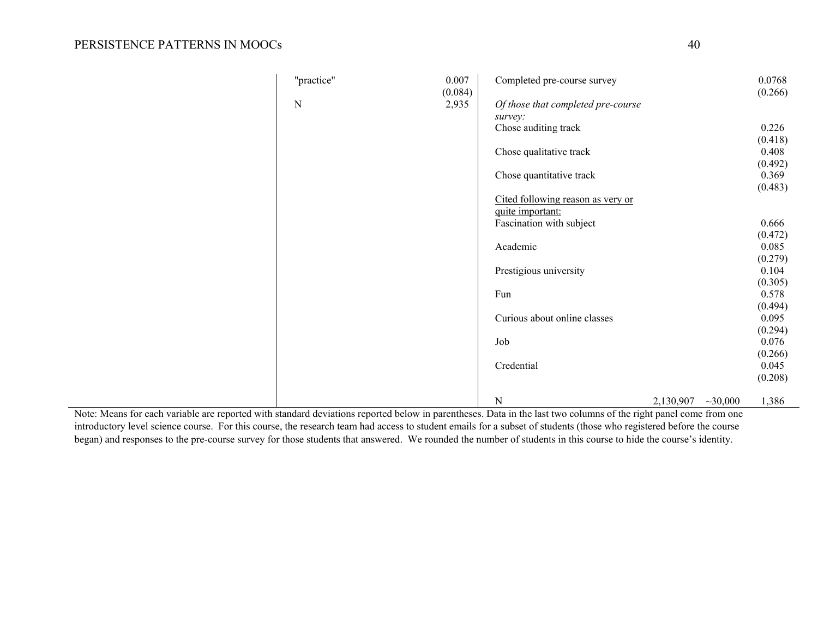| "practice" | 0.007<br>(0.084) | Completed pre-course survey        |           |         | 0.0768<br>(0.266) |
|------------|------------------|------------------------------------|-----------|---------|-------------------|
| ${\bf N}$  | 2,935            | Of those that completed pre-course |           |         |                   |
|            |                  | survey:                            |           |         |                   |
|            |                  | Chose auditing track               |           |         | 0.226             |
|            |                  |                                    |           |         | (0.418)           |
|            |                  | Chose qualitative track            |           |         | 0.408             |
|            |                  |                                    |           |         | (0.492)           |
|            |                  | Chose quantitative track           |           |         | 0.369             |
|            |                  |                                    |           |         | (0.483)           |
|            |                  | Cited following reason as very or  |           |         |                   |
|            |                  | quite important:                   |           |         |                   |
|            |                  | Fascination with subject           |           |         | 0.666             |
|            |                  |                                    |           |         | (0.472)           |
|            |                  | Academic                           |           |         | 0.085             |
|            |                  |                                    |           |         | (0.279)           |
|            |                  | Prestigious university             |           |         | 0.104             |
|            |                  |                                    |           |         | (0.305)           |
|            |                  | Fun                                |           |         | 0.578             |
|            |                  |                                    |           |         | (0.494)           |
|            |                  | Curious about online classes       |           |         | 0.095             |
|            |                  |                                    |           |         | (0.294)           |
|            |                  | Job                                |           |         | 0.076             |
|            |                  |                                    |           |         | (0.266)           |
|            |                  | Credential                         |           |         | 0.045             |
|            |                  |                                    |           |         | (0.208)           |
|            |                  |                                    |           |         |                   |
|            |                  | ${\bf N}$                          | 2,130,907 | ~10,000 | 1,386             |

Note: Means for each variable are reported with standard deviations reported below in parentheses. Data in the last two columns of the right panel come from one introductory level science course. For this course, the research team had access to student emails for a subset of students (those who registered before the course began) and responses to the pre-course survey for those students that answered. We rounded the number of students in this course to hide the course's identity.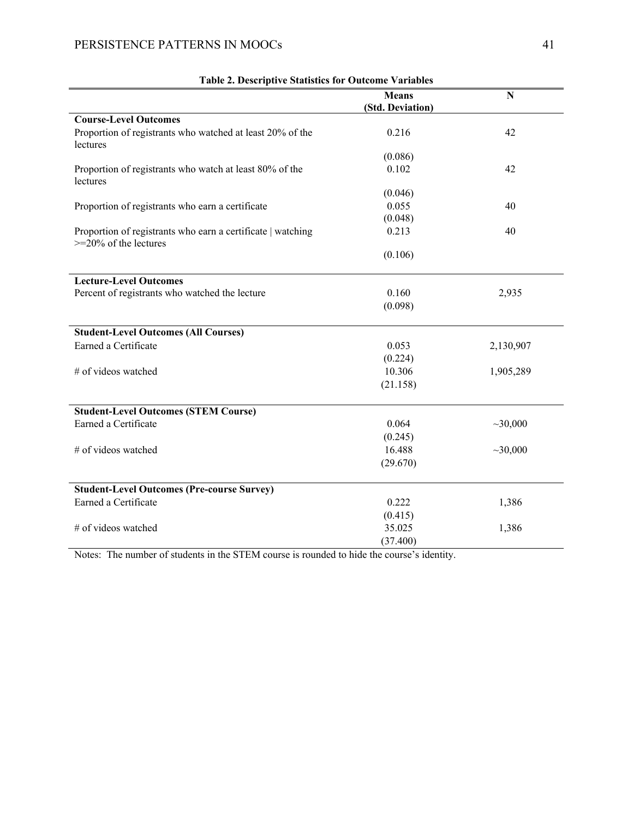|                                                                                         | <b>Means</b>     | $\overline{\bf N}$ |
|-----------------------------------------------------------------------------------------|------------------|--------------------|
|                                                                                         | (Std. Deviation) |                    |
| <b>Course-Level Outcomes</b>                                                            |                  |                    |
| Proportion of registrants who watched at least 20% of the<br>lectures                   | 0.216            | 42                 |
|                                                                                         | (0.086)          |                    |
| Proportion of registrants who watch at least 80% of the<br>lectures                     | 0.102            | 42                 |
|                                                                                         | (0.046)          |                    |
| Proportion of registrants who earn a certificate                                        | 0.055            | 40                 |
|                                                                                         | (0.048)          |                    |
| Proportion of registrants who earn a certificate   watching<br>$>=$ 20% of the lectures | 0.213            | 40                 |
|                                                                                         | (0.106)          |                    |
| <b>Lecture-Level Outcomes</b>                                                           |                  |                    |
| Percent of registrants who watched the lecture                                          | 0.160            | 2,935              |
|                                                                                         | (0.098)          |                    |
|                                                                                         |                  |                    |
| <b>Student-Level Outcomes (All Courses)</b>                                             |                  |                    |
| Earned a Certificate                                                                    | 0.053            | 2,130,907          |
|                                                                                         | (0.224)          |                    |
| # of videos watched                                                                     | 10.306           | 1,905,289          |
|                                                                                         | (21.158)         |                    |
|                                                                                         |                  |                    |
| <b>Student-Level Outcomes (STEM Course)</b>                                             |                  |                    |
| Earned a Certificate                                                                    | 0.064            | ~10,000            |
|                                                                                         | (0.245)          |                    |
| # of videos watched                                                                     | 16.488           | ~10,000            |
|                                                                                         | (29.670)         |                    |
|                                                                                         |                  |                    |
| <b>Student-Level Outcomes (Pre-course Survey)</b>                                       |                  |                    |
| Earned a Certificate                                                                    | 0.222            | 1,386              |
|                                                                                         | (0.415)          |                    |
| # of videos watched                                                                     | 35.025           | 1,386              |
|                                                                                         | (37.400)         |                    |

| <b>Table 2. Descriptive Statistics for Outcome Variables</b> |  |  |
|--------------------------------------------------------------|--|--|
|                                                              |  |  |

Notes: The number of students in the STEM course is rounded to hide the course's identity.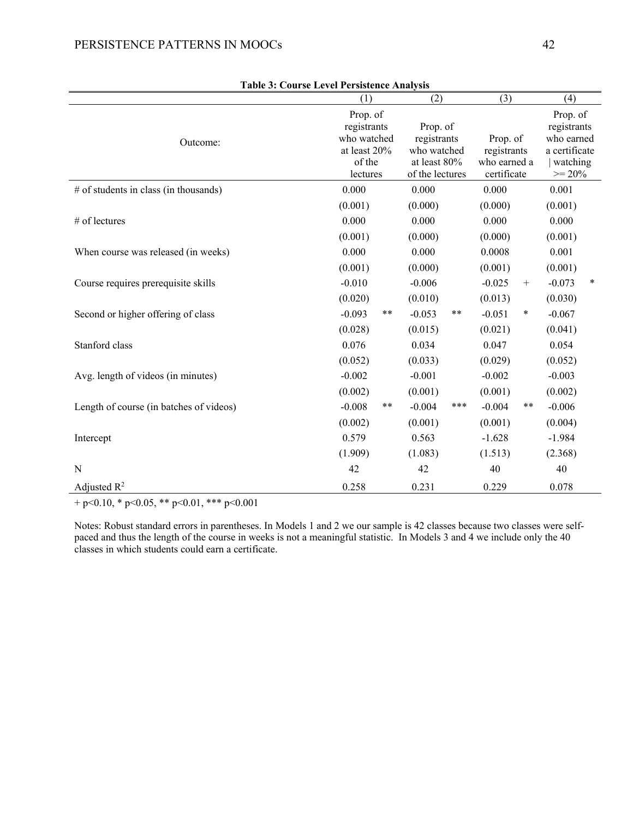|                                         | Table 5: Course Level Fersistence Analysis<br>(1)                            | (2)                                                                       | (3)                                                    | (4)                                                                            |  |  |
|-----------------------------------------|------------------------------------------------------------------------------|---------------------------------------------------------------------------|--------------------------------------------------------|--------------------------------------------------------------------------------|--|--|
| Outcome:                                | Prop. of<br>registrants<br>who watched<br>at least 20%<br>of the<br>lectures | Prop. of<br>registrants<br>who watched<br>at least 80%<br>of the lectures | Prop. of<br>registrants<br>who earned a<br>certificate | Prop. of<br>registrants<br>who earned<br>a certificate<br>watching<br>$>= 20%$ |  |  |
| # of students in class (in thousands)   | 0.000                                                                        | 0.000                                                                     | 0.000                                                  | 0.001                                                                          |  |  |
| # of lectures                           | (0.001)<br>0.000<br>(0.001)                                                  | (0.000)<br>0.000<br>(0.000)                                               | (0.000)<br>0.000<br>(0.000)                            | (0.001)<br>0.000<br>(0.001)                                                    |  |  |
| When course was released (in weeks)     | 0.000<br>(0.001)                                                             | 0.000<br>(0.000)                                                          | 0.0008<br>(0.001)                                      | 0.001<br>(0.001)                                                               |  |  |
| Course requires prerequisite skills     | $-0.010$<br>(0.020)                                                          | $-0.006$<br>(0.010)                                                       | $-0.025$<br>$+$<br>(0.013)                             | $-0.073$<br>$\ast$<br>(0.030)                                                  |  |  |
| Second or higher offering of class      | **<br>$-0.093$<br>(0.028)                                                    | $***$<br>$-0.053$<br>(0.015)                                              | $-0.051$<br>$\ast$<br>(0.021)                          | $-0.067$<br>(0.041)                                                            |  |  |
| Stanford class                          | 0.076<br>(0.052)                                                             | 0.034<br>(0.033)                                                          | 0.047<br>(0.029)                                       | 0.054<br>(0.052)                                                               |  |  |
| Avg. length of videos (in minutes)      | $-0.002$<br>(0.002)                                                          | $-0.001$<br>(0.001)                                                       | $-0.002$<br>(0.001)                                    | $-0.003$<br>(0.002)                                                            |  |  |
| Length of course (in batches of videos) | **<br>$-0.008$                                                               | ***<br>$-0.004$                                                           | **<br>$-0.004$                                         | $-0.006$                                                                       |  |  |
| Intercept                               | (0.002)<br>0.579<br>(1.909)                                                  | (0.001)<br>0.563<br>(1.083)                                               | (0.001)<br>$-1.628$<br>(1.513)                         | (0.004)<br>$-1.984$<br>(2.368)                                                 |  |  |
| N                                       | 42                                                                           | 42                                                                        | 40                                                     | 40                                                                             |  |  |
| Adjusted $R^2$                          | 0.258                                                                        | 0.231                                                                     | 0.229                                                  | 0.078                                                                          |  |  |

| <b>Table 3: Course Level Persistence Analysis</b> |  |
|---------------------------------------------------|--|
|                                                   |  |

+ p<0.10, \* p<0.05, \*\* p<0.01, \*\*\* p<0.001

Notes: Robust standard errors in parentheses. In Models 1 and 2 we our sample is 42 classes because two classes were selfpaced and thus the length of the course in weeks is not a meaningful statistic. In Models 3 and 4 we include only the 40 classes in which students could earn a certificate.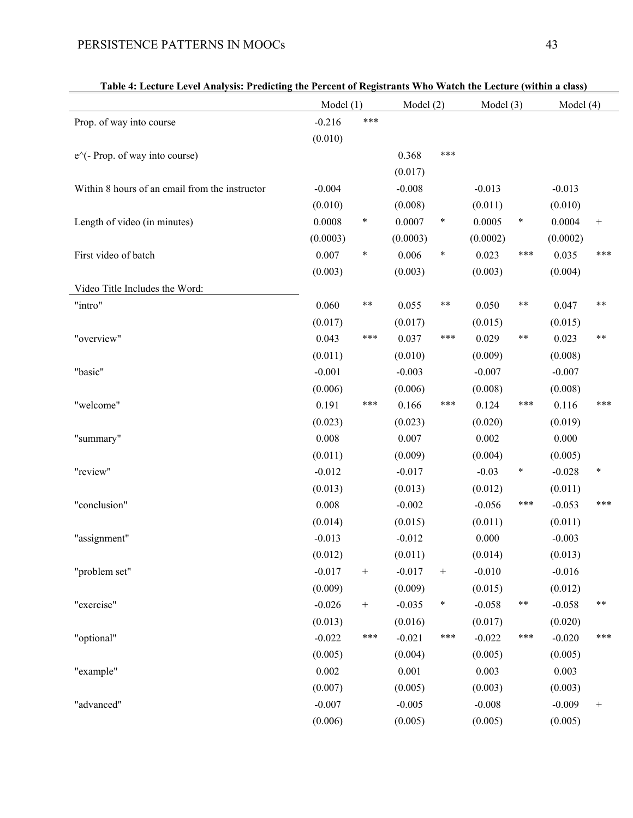|                                                | Model(1) |        | Model $(2)$ |                  | Model $(3)$ |        | Model (4) |        |
|------------------------------------------------|----------|--------|-------------|------------------|-------------|--------|-----------|--------|
| Prop. of way into course                       | $-0.216$ | ***    |             |                  |             |        |           |        |
|                                                | (0.010)  |        |             |                  |             |        |           |        |
| $e^{\wedge}$ (- Prop. of way into course)      |          |        | 0.368       | ***              |             |        |           |        |
|                                                |          |        | (0.017)     |                  |             |        |           |        |
| Within 8 hours of an email from the instructor | $-0.004$ |        | $-0.008$    |                  | $-0.013$    |        | $-0.013$  |        |
|                                                | (0.010)  |        | (0.008)     |                  | (0.011)     |        | (0.010)   |        |
| Length of video (in minutes)                   | 0.0008   | $\ast$ | 0.0007      | $\ast$           | 0.0005      | $\ast$ | 0.0004    | $+$    |
|                                                | (0.0003) |        | (0.0003)    |                  | (0.0002)    |        | (0.0002)  |        |
| First video of batch                           | 0.007    | $\ast$ | 0.006       | ∗                | 0.023       | ***    | 0.035     | ***    |
|                                                | (0.003)  |        | (0.003)     |                  | (0.003)     |        | (0.004)   |        |
| Video Title Includes the Word:                 |          |        |             |                  |             |        |           |        |
| "intro"                                        | 0.060    | **     | 0.055       | **               | 0.050       | **     | 0.047     | **     |
|                                                | (0.017)  |        | (0.017)     |                  | (0.015)     |        | (0.015)   |        |
| "overview"                                     | 0.043    | ***    | 0.037       | ***              | 0.029       | **     | 0.023     | **     |
|                                                | (0.011)  |        | (0.010)     |                  | (0.009)     |        | (0.008)   |        |
| "basic"                                        | $-0.001$ |        | $-0.003$    |                  | $-0.007$    |        | $-0.007$  |        |
|                                                | (0.006)  |        | (0.006)     |                  | (0.008)     |        | (0.008)   |        |
| "welcome"                                      | 0.191    | ***    | 0.166       | ***              | 0.124       | ***    | 0.116     | ***    |
|                                                | (0.023)  |        | (0.023)     |                  | (0.020)     |        | (0.019)   |        |
| "summary"                                      | 0.008    |        | 0.007       |                  | 0.002       |        | 0.000     |        |
|                                                | (0.011)  |        | (0.009)     |                  | (0.004)     |        | (0.005)   |        |
| "review"                                       | $-0.012$ |        | $-0.017$    |                  | $-0.03$     | $\ast$ | $-0.028$  | $\ast$ |
|                                                | (0.013)  |        | (0.013)     |                  | (0.012)     |        | (0.011)   |        |
| "conclusion"                                   | 0.008    |        | $-0.002$    |                  | $-0.056$    | ***    | $-0.053$  | ***    |
|                                                | (0.014)  |        | (0.015)     |                  | (0.011)     |        | (0.011)   |        |
| "assignment"                                   | $-0.013$ |        | $-0.012$    |                  | 0.000       |        | $-0.003$  |        |
|                                                | (0.012)  |        | (0.011)     |                  | (0.014)     |        | (0.013)   |        |
| "problem set"                                  | $-0.017$ | $^+$   | $-0.017$    | $\boldsymbol{+}$ | $-0.010$    |        | $-0.016$  |        |
|                                                | (0.009)  |        | (0.009)     |                  | (0.015)     |        | (0.012)   |        |
| "exercise"                                     | $-0.026$ | $^+$   | $-0.035$    | $\ast$           | $-0.058$    | **     | $-0.058$  | **     |
|                                                | (0.013)  |        | (0.016)     |                  | (0.017)     |        | (0.020)   |        |
| "optional"                                     | $-0.022$ | ***    | $-0.021$    | ***              | $-0.022$    | ***    | $-0.020$  | ***    |
|                                                | (0.005)  |        | (0.004)     |                  | (0.005)     |        | (0.005)   |        |
| "example"                                      | 0.002    |        | 0.001       |                  | 0.003       |        | 0.003     |        |

 $(0.007)$   $(0.005)$   $(0.003)$   $(0.003)$ 

 $(0.006)$   $(0.005)$   $(0.005)$   $(0.005)$   $(0.005)$ 

|  | Table 4: Lecture Level Analysis: Predicting the Percent of Registrants Who Watch the Lecture (within a class) |
|--|---------------------------------------------------------------------------------------------------------------|
|  |                                                                                                               |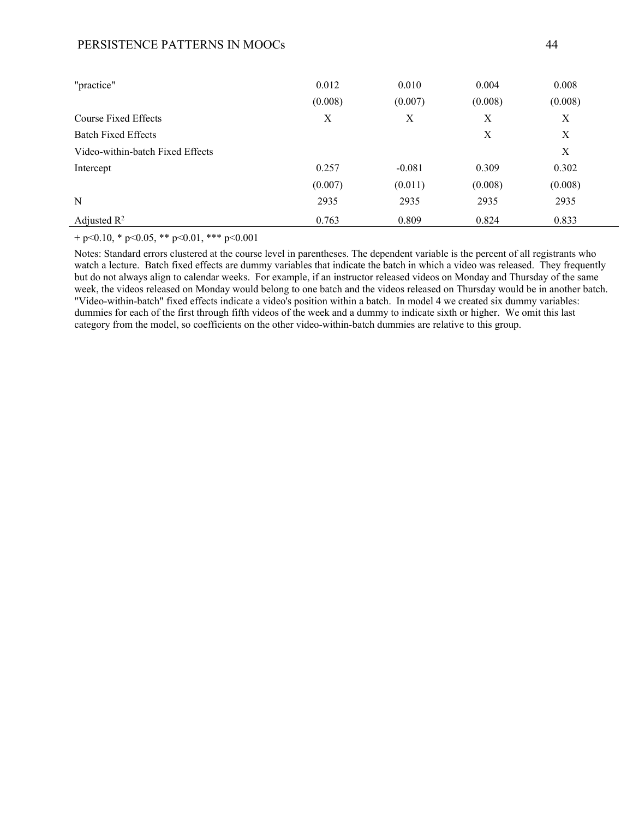| "practice"                       | 0.012   | 0.010    | 0.004   | 0.008   |
|----------------------------------|---------|----------|---------|---------|
|                                  | (0.008) | (0.007)  | (0.008) | (0.008) |
| Course Fixed Effects             | X       | X        | X       | X       |
| <b>Batch Fixed Effects</b>       |         |          | X       | X       |
| Video-within-batch Fixed Effects |         |          |         | X       |
| Intercept                        | 0.257   | $-0.081$ | 0.309   | 0.302   |
|                                  | (0.007) | (0.011)  | (0.008) | (0.008) |
| N                                | 2935    | 2935     | 2935    | 2935    |
| Adjusted $\mathbb{R}^2$          | 0.763   | 0.809    | 0.824   | 0.833   |

+ p<0.10, \* p<0.05, \*\* p<0.01, \*\*\* p<0.001

Notes: Standard errors clustered at the course level in parentheses. The dependent variable is the percent of all registrants who watch a lecture. Batch fixed effects are dummy variables that indicate the batch in which a video was released. They frequently but do not always align to calendar weeks. For example, if an instructor released videos on Monday and Thursday of the same week, the videos released on Monday would belong to one batch and the videos released on Thursday would be in another batch. "Video-within-batch" fixed effects indicate a video's position within a batch. In model 4 we created six dummy variables: dummies for each of the first through fifth videos of the week and a dummy to indicate sixth or higher. We omit this last category from the model, so coefficients on the other video-within-batch dummies are relative to this group.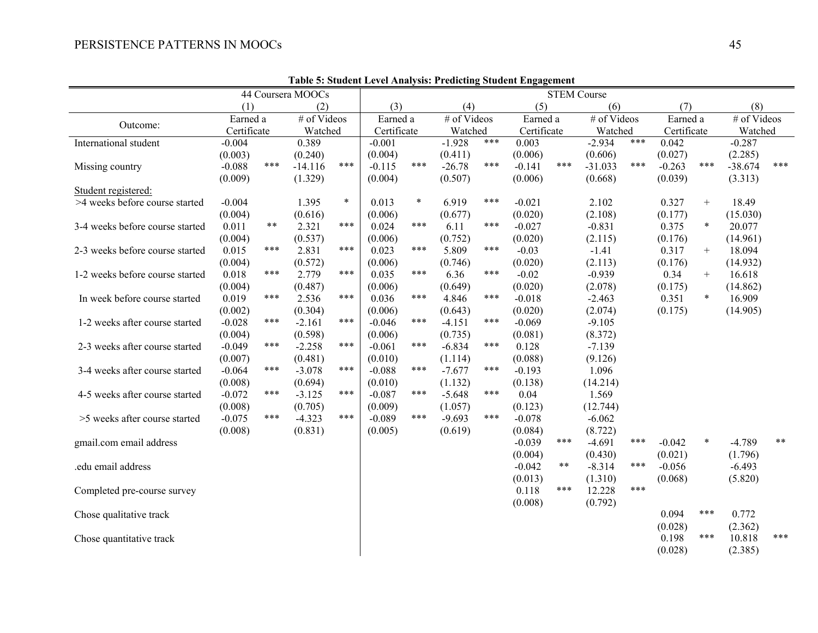| Table 5: Student Level Analysis: Predicting Student Engagement |             |       |                   |        |             |                    |          |             |             |          |             |     |             |        |             |       |
|----------------------------------------------------------------|-------------|-------|-------------------|--------|-------------|--------------------|----------|-------------|-------------|----------|-------------|-----|-------------|--------|-------------|-------|
|                                                                |             |       | 44 Coursera MOOCs |        |             | <b>STEM Course</b> |          |             |             |          |             |     |             |        |             |       |
|                                                                | (1)         |       | (2)               |        | (3)         |                    | (4)      |             | (5)         |          | (6)         |     | (7)         |        | (8)         |       |
| Outcome:                                                       | Earned a    |       | # of Videos       |        | Earned a    |                    |          | # of Videos |             | Earned a | # of Videos |     | Earned a    |        | # of Videos |       |
|                                                                | Certificate |       | Watched           |        | Certificate |                    | Watched  |             | Certificate |          | Watched     |     | Certificate |        | Watched     |       |
| International student                                          | $-0.004$    |       | 0.389             |        | $-0.001$    |                    | $-1.928$ | ***         | 0.003       |          | $-2.934$    | *** | 0.042       |        | $-0.287$    |       |
|                                                                | (0.003)     |       | (0.240)           |        | (0.004)     |                    | (0.411)  |             | (0.006)     |          | (0.606)     |     | (0.027)     |        | (2.285)     |       |
| Missing country                                                | $-0.088$    | ***   | $-14.116$         | ***    | $-0.115$    | ***                | $-26.78$ | ***         | $-0.141$    | ***      | $-31.033$   | *** | $-0.263$    | ***    | $-38.674$   | ***   |
|                                                                | (0.009)     |       | (1.329)           |        | (0.004)     |                    | (0.507)  |             | (0.006)     |          | (0.668)     |     | (0.039)     |        | (3.313)     |       |
| Student registered:                                            |             |       |                   |        |             |                    |          |             |             |          |             |     |             |        |             |       |
| >4 weeks before course started                                 | $-0.004$    |       | 1.395             | $\ast$ | 0.013       | $\ast$             | 6.919    | ***         | $-0.021$    |          | 2.102       |     | 0.327       | $^{+}$ | 18.49       |       |
|                                                                | (0.004)     |       | (0.616)           |        | (0.006)     |                    | (0.677)  |             | (0.020)     |          | (2.108)     |     | (0.177)     |        | (15.030)    |       |
| 3-4 weeks before course started                                | 0.011       | $***$ | 2.321             | ***    | 0.024       | ***                | 6.11     | ***         | $-0.027$    |          | $-0.831$    |     | 0.375       | $\ast$ | 20.077      |       |
|                                                                | (0.004)     |       | (0.537)           |        | (0.006)     |                    | (0.752)  |             | (0.020)     |          | (2.115)     |     | (0.176)     |        | (14.961)    |       |
| 2-3 weeks before course started                                | 0.015       | ***   | 2.831             | ***    | 0.023       | ***                | 5.809    | ***         | $-0.03$     |          | $-1.41$     |     | 0.317       | $+$    | 18.094      |       |
|                                                                | (0.004)     |       | (0.572)           |        | (0.006)     |                    | (0.746)  |             | (0.020)     |          | (2.113)     |     | (0.176)     |        | (14.932)    |       |
| 1-2 weeks before course started                                | 0.018       | ***   | 2.779             | ***    | 0.035       | ***                | 6.36     | ***         | $-0.02$     |          | $-0.939$    |     | 0.34        | $+$    | 16.618      |       |
|                                                                | (0.004)     |       | (0.487)           |        | (0.006)     |                    | (0.649)  |             | (0.020)     |          | (2.078)     |     | (0.175)     |        | (14.862)    |       |
| In week before course started                                  | 0.019       | ***   | 2.536             | ***    | 0.036       | ***                | 4.846    | ***         | $-0.018$    |          | $-2.463$    |     | 0.351       | $\ast$ | 16.909      |       |
|                                                                | (0.002)     |       | (0.304)           |        | (0.006)     |                    | (0.643)  |             | (0.020)     |          | (2.074)     |     | (0.175)     |        | (14.905)    |       |
| 1-2 weeks after course started                                 | $-0.028$    | ***   | $-2.161$          | ***    | $-0.046$    | ***                | $-4.151$ | ***         | $-0.069$    |          | $-9.105$    |     |             |        |             |       |
|                                                                | (0.004)     |       | (0.598)           |        | (0.006)     |                    | (0.735)  |             | (0.081)     |          | (8.372)     |     |             |        |             |       |
| 2-3 weeks after course started                                 | $-0.049$    | ***   | $-2.258$          | ***    | $-0.061$    | ***                | $-6.834$ | ***         | 0.128       |          | $-7.139$    |     |             |        |             |       |
|                                                                | (0.007)     |       | (0.481)           |        | (0.010)     |                    | (1.114)  |             | (0.088)     |          | (9.126)     |     |             |        |             |       |
| 3-4 weeks after course started                                 | $-0.064$    | ***   | $-3.078$          | ***    | $-0.088$    | ***                | $-7.677$ | ***         | $-0.193$    |          | 1.096       |     |             |        |             |       |
|                                                                | (0.008)     |       | (0.694)           |        | (0.010)     |                    | (1.132)  |             | (0.138)     |          | (14.214)    |     |             |        |             |       |
| 4-5 weeks after course started                                 | $-0.072$    | ***   | $-3.125$          | ***    | $-0.087$    | ***                | $-5.648$ | ***         | 0.04        |          | 1.569       |     |             |        |             |       |
|                                                                | (0.008)     |       | (0.705)           |        | (0.009)     |                    | (1.057)  |             | (0.123)     |          | (12.744)    |     |             |        |             |       |
| >5 weeks after course started                                  | $-0.075$    | ***   | $-4.323$          | ***    | $-0.089$    | ***                | $-9.693$ | ***         | $-0.078$    |          | $-6.062$    |     |             |        |             |       |
|                                                                | (0.008)     |       | (0.831)           |        | (0.005)     |                    | (0.619)  |             | (0.084)     |          | (8.722)     |     |             |        |             |       |
| gmail.com email address                                        |             |       |                   |        |             |                    |          |             | $-0.039$    | ***      | $-4.691$    | *** | $-0.042$    | $\ast$ | $-4.789$    | $***$ |
|                                                                |             |       |                   |        |             |                    |          |             | (0.004)     |          | (0.430)     |     | (0.021)     |        | (1.796)     |       |
| .edu email address                                             |             |       |                   |        |             |                    |          |             | $-0.042$    | **       | $-8.314$    | *** | $-0.056$    |        | $-6.493$    |       |
|                                                                |             |       |                   |        |             |                    |          |             | (0.013)     |          | (1.310)     |     | (0.068)     |        | (5.820)     |       |
| Completed pre-course survey                                    |             |       |                   |        |             |                    |          |             | 0.118       | ***      | 12.228      | *** |             |        |             |       |
|                                                                |             |       |                   |        |             |                    |          |             | (0.008)     |          | (0.792)     |     |             |        |             |       |
| Chose qualitative track                                        |             |       |                   |        |             |                    |          |             |             |          |             |     | 0.094       | ***    | 0.772       |       |
|                                                                |             |       |                   |        |             |                    |          |             |             |          |             |     | (0.028)     |        | (2.362)     |       |
| Chose quantitative track                                       |             |       |                   |        |             |                    |          |             |             |          |             |     | 0.198       | ***    | 10.818      | ***   |
|                                                                |             |       |                   |        |             |                    |          |             |             |          |             |     | (0.028)     |        | (2.385)     |       |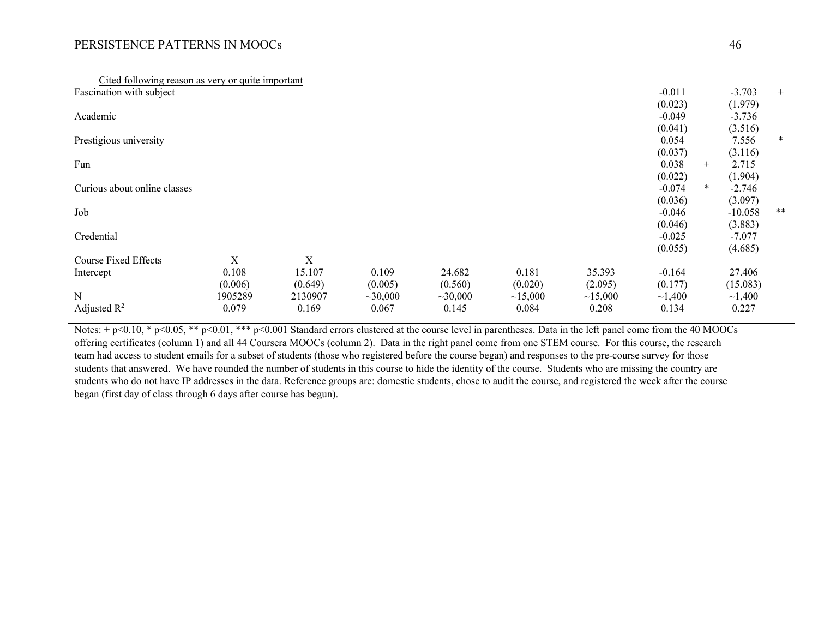| Cited following reason as very or quite important |         |             |               |         |         |         |              |        |           |        |
|---------------------------------------------------|---------|-------------|---------------|---------|---------|---------|--------------|--------|-----------|--------|
| Fascination with subject                          |         |             |               |         |         |         | $-0.011$     |        | $-3.703$  | $+$    |
|                                                   |         |             |               |         |         |         | (0.023)      |        | (1.979)   |        |
| Academic                                          |         |             |               |         |         |         | $-0.049$     |        | $-3.736$  |        |
|                                                   |         |             |               |         |         |         | (0.041)      |        | (3.516)   |        |
| Prestigious university                            |         |             |               |         |         |         | 0.054        |        | 7.556     | $\ast$ |
|                                                   |         |             |               |         |         |         | (0.037)      |        | (3.116)   |        |
| Fun                                               |         |             |               |         |         |         | 0.038        | $+$    | 2.715     |        |
|                                                   |         |             |               |         |         |         | (0.022)      |        | (1.904)   |        |
| Curious about online classes                      |         |             |               |         |         |         | $-0.074$     | $\ast$ | $-2.746$  |        |
|                                                   |         |             |               |         |         |         | (0.036)      |        | (3.097)   |        |
| Job                                               |         |             |               |         |         |         | $-0.046$     |        | $-10.058$ | **     |
|                                                   |         |             |               |         |         |         | (0.046)      |        | (3.883)   |        |
| Credential                                        |         |             |               |         |         |         | $-0.025$     |        | $-7.077$  |        |
|                                                   |         |             |               |         |         |         | (0.055)      |        | (4.685)   |        |
| Course Fixed Effects                              | X       | $\mathbf X$ |               |         |         |         |              |        |           |        |
| Intercept                                         | 0.108   | 15.107      | 0.109         | 24.682  | 0.181   | 35.393  | $-0.164$     |        | 27.406    |        |
|                                                   | (0.006) | (0.649)     | (0.005)       | (0.560) | (0.020) | (2.095) | (0.177)      |        | (15.083)  |        |
| ${\bf N}$                                         | 1905289 | 2130907     | $\sim$ 30,000 | ~10,000 | ~15,000 | ~15,000 | $\sim$ 1,400 |        | ~1,400    |        |
| Adjusted $\mathbb{R}^2$                           | 0.079   | 0.169       | 0.067         | 0.145   | 0.084   | 0.208   | 0.134        |        | 0.227     |        |
|                                                   |         |             |               |         |         |         |              |        |           |        |

Notes:  $+p<0.10$ , \*  $p<0.05$ , \*\*  $p<0.01$ , \*\*\*  $p<0.001$  Standard errors clustered at the course level in parentheses. Data in the left panel come from the 40 MOOCs offering certificates (column 1) and all 44 Coursera MOOCs (column 2). Data in the right panel come from one STEM course. For this course, the research team had access to student emails for a subset of students (those who registered before the course began) and responses to the pre-course survey for those students that answered. We have rounded the number of students in this course to hide the identity of the course. Students who are missing the country are students who do not have IP addresses in the data. Reference groups are: domestic students, chose to audit the course, and registered the week after the course began (first day of class through 6 days after course has begun).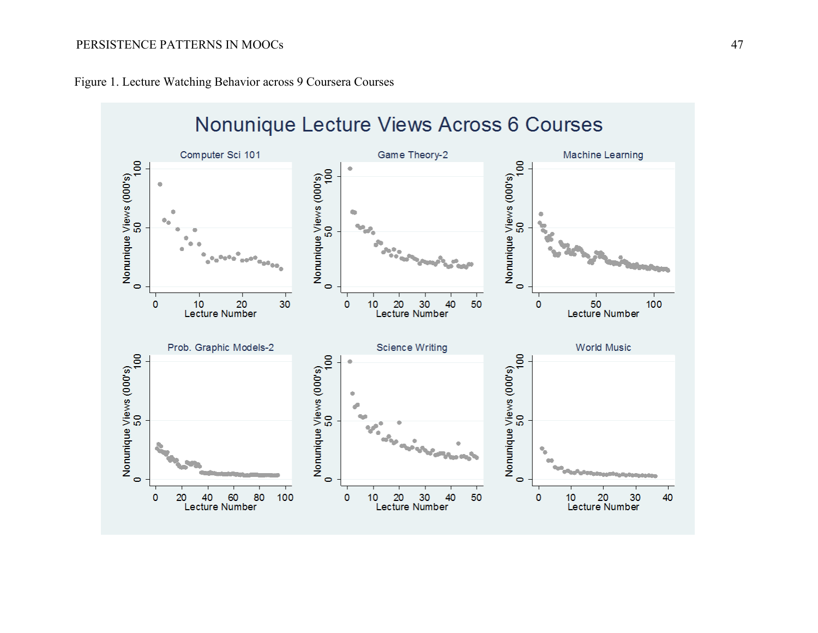

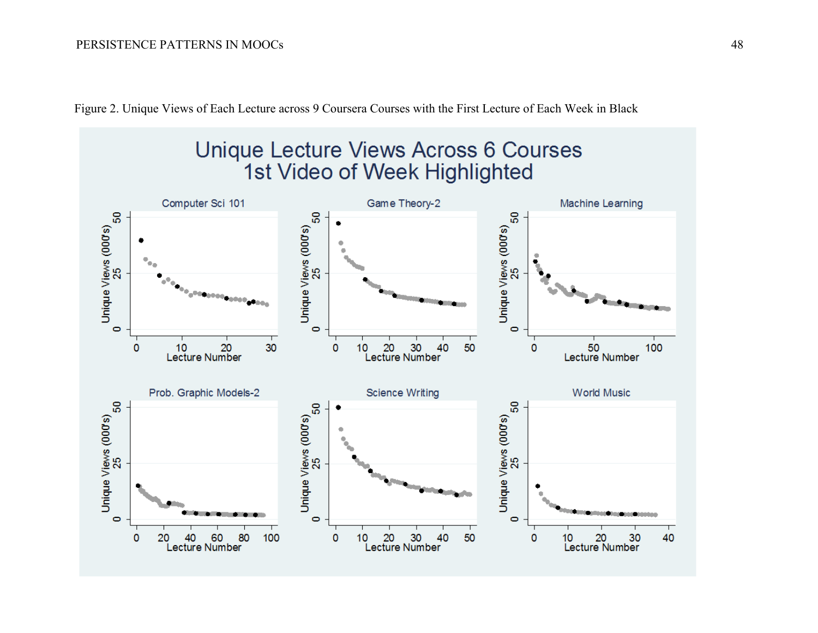

Figure 2. Unique Views of Each Lecture across 9 Coursera Courses with the First Lecture of Each Week in Black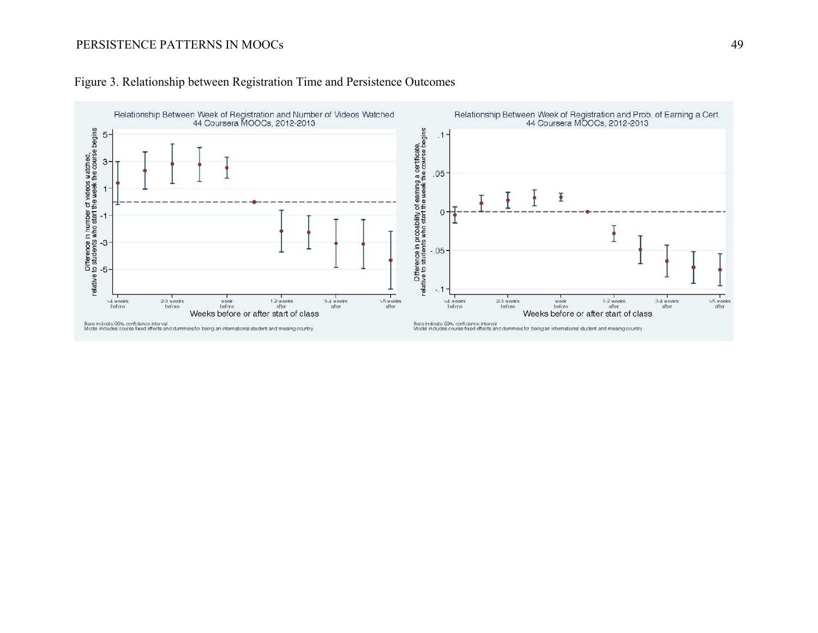

# Figure 3. Relationship between Registration Time and Persistence Outcomes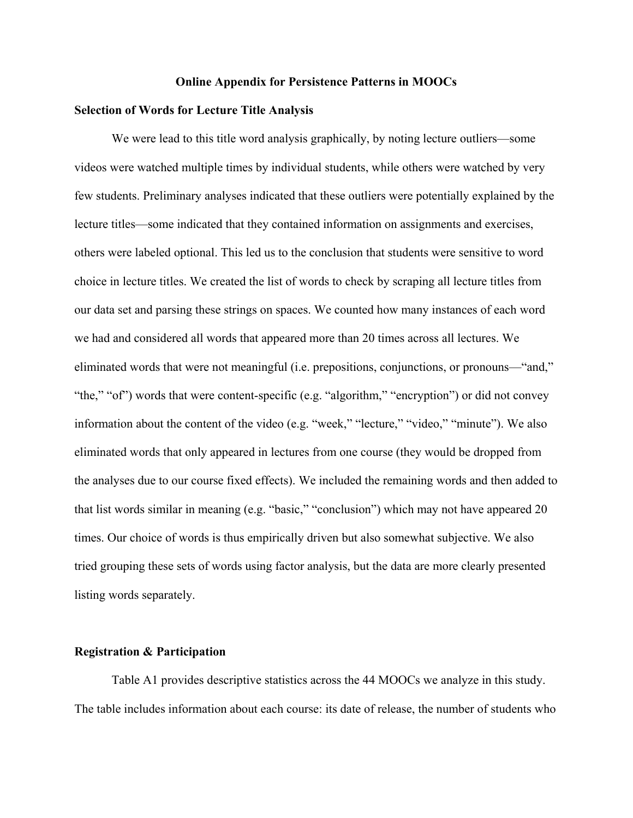#### **Online Appendix for Persistence Patterns in MOOCs**

#### **Selection of Words for Lecture Title Analysis**

We were lead to this title word analysis graphically, by noting lecture outliers—some videos were watched multiple times by individual students, while others were watched by very few students. Preliminary analyses indicated that these outliers were potentially explained by the lecture titles—some indicated that they contained information on assignments and exercises, others were labeled optional. This led us to the conclusion that students were sensitive to word choice in lecture titles. We created the list of words to check by scraping all lecture titles from our data set and parsing these strings on spaces. We counted how many instances of each word we had and considered all words that appeared more than 20 times across all lectures. We eliminated words that were not meaningful (i.e. prepositions, conjunctions, or pronouns—"and," "the," "of") words that were content-specific (e.g. "algorithm," "encryption") or did not convey information about the content of the video (e.g. "week," "lecture," "video," "minute"). We also eliminated words that only appeared in lectures from one course (they would be dropped from the analyses due to our course fixed effects). We included the remaining words and then added to that list words similar in meaning (e.g. "basic," "conclusion") which may not have appeared 20 times. Our choice of words is thus empirically driven but also somewhat subjective. We also tried grouping these sets of words using factor analysis, but the data are more clearly presented listing words separately.

### **Registration & Participation**

Table A1 provides descriptive statistics across the 44 MOOCs we analyze in this study. The table includes information about each course: its date of release, the number of students who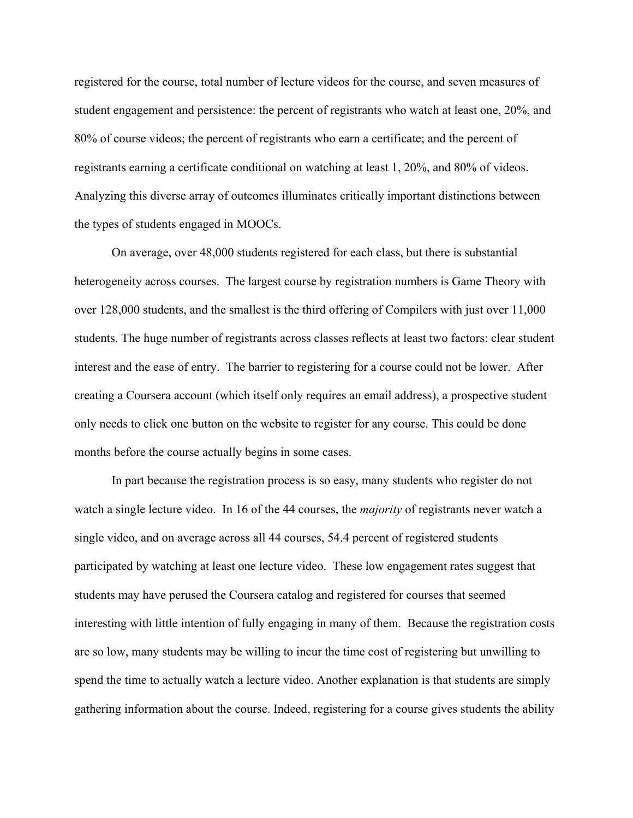registered for the course, total number of lecture videos for the course, and seven measures of student engagement and persistence: the percent of registrants who watch at least one, 20%, and 80% of course videos; the percent of registrants who earn a certificate; and the percent of registrants earning a certificate conditional on watching at least 1, 20%, and 80% of videos. Analyzing this diverse array of outcomes illuminates critically important distinctions between the types of students engaged in MOOCs.

On average, over 48,000 students registered for each class, but there is substantial heterogeneity across courses. The largest course by registration numbers is Game Theory with over 128,000 students, and the smallest is the third offering of Compilers with just over 11,000 students. The huge number of registrants across classes reflects at least two factors: clear student interest and the ease of entry. The barrier to registering for a course could not be lower. After creating a Coursera account (which itself only requires an email address), a prospective student only needs to click one button on the website to register for any course. This could be done months before the course actually begins in some cases.

In part because the registration process is so easy, many students who register do not watch a single lecture video. In 16 of the 44 courses, the *majority* of registrants never watch a single video, and on average across all 44 courses, 54.4 percent of registered students participated by watching at least one lecture video. These low engagement rates suggest that students may have perused the Coursera catalog and registered for courses that seemed interesting with little intention of fully engaging in many of them. Because the registration costs are so low, many students may be willing to incur the time cost of registering but unwilling to spend the time to actually watch a lecture video. Another explanation is that students are simply gathering information about the course. Indeed, registering for a course gives students the ability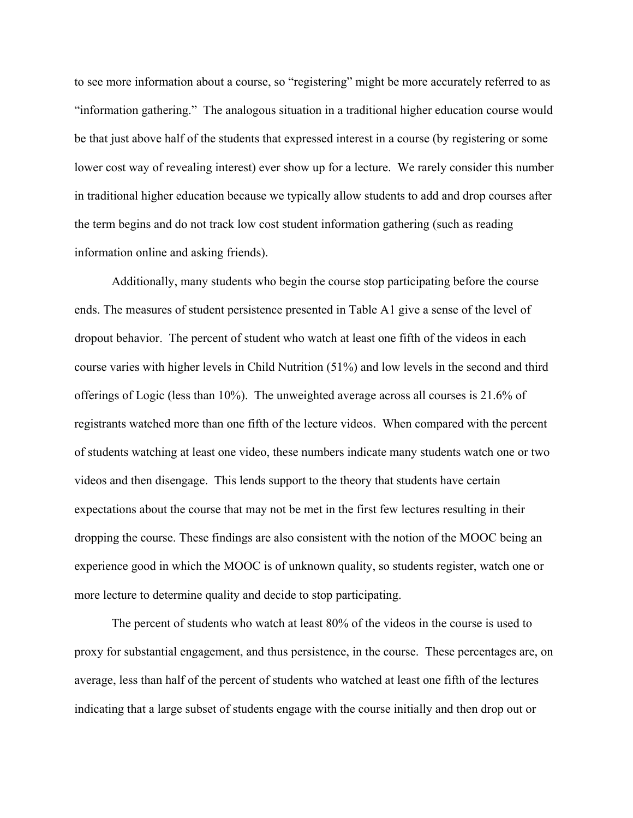to see more information about a course, so "registering" might be more accurately referred to as "information gathering." The analogous situation in a traditional higher education course would be that just above half of the students that expressed interest in a course (by registering or some lower cost way of revealing interest) ever show up for a lecture. We rarely consider this number in traditional higher education because we typically allow students to add and drop courses after the term begins and do not track low cost student information gathering (such as reading information online and asking friends).

Additionally, many students who begin the course stop participating before the course ends. The measures of student persistence presented in Table A1 give a sense of the level of dropout behavior. The percent of student who watch at least one fifth of the videos in each course varies with higher levels in Child Nutrition (51%) and low levels in the second and third offerings of Logic (less than 10%). The unweighted average across all courses is 21.6% of registrants watched more than one fifth of the lecture videos. When compared with the percent of students watching at least one video, these numbers indicate many students watch one or two videos and then disengage. This lends support to the theory that students have certain expectations about the course that may not be met in the first few lectures resulting in their dropping the course. These findings are also consistent with the notion of the MOOC being an experience good in which the MOOC is of unknown quality, so students register, watch one or more lecture to determine quality and decide to stop participating.

The percent of students who watch at least 80% of the videos in the course is used to proxy for substantial engagement, and thus persistence, in the course. These percentages are, on average, less than half of the percent of students who watched at least one fifth of the lectures indicating that a large subset of students engage with the course initially and then drop out or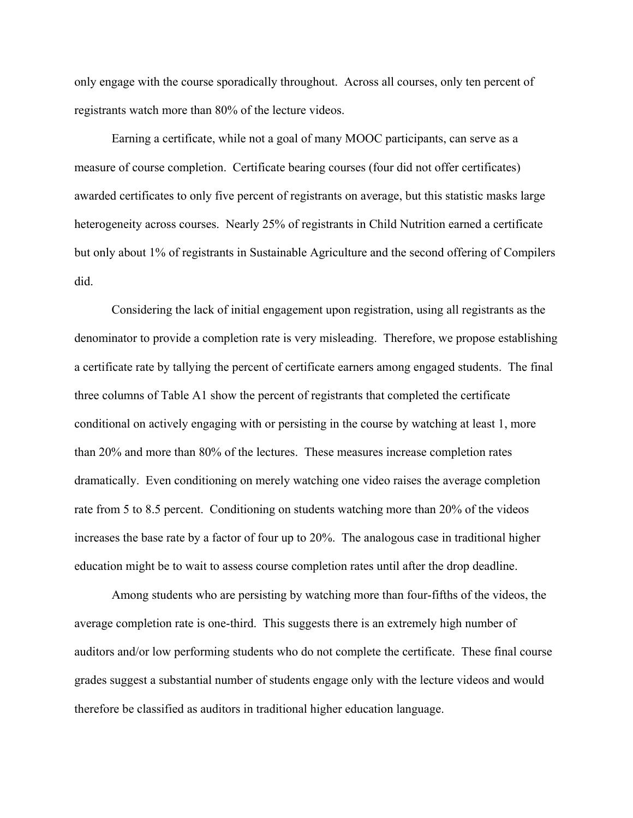only engage with the course sporadically throughout. Across all courses, only ten percent of registrants watch more than 80% of the lecture videos.

Earning a certificate, while not a goal of many MOOC participants, can serve as a measure of course completion. Certificate bearing courses (four did not offer certificates) awarded certificates to only five percent of registrants on average, but this statistic masks large heterogeneity across courses. Nearly 25% of registrants in Child Nutrition earned a certificate but only about 1% of registrants in Sustainable Agriculture and the second offering of Compilers did.

Considering the lack of initial engagement upon registration, using all registrants as the denominator to provide a completion rate is very misleading. Therefore, we propose establishing a certificate rate by tallying the percent of certificate earners among engaged students. The final three columns of Table A1 show the percent of registrants that completed the certificate conditional on actively engaging with or persisting in the course by watching at least 1, more than 20% and more than 80% of the lectures. These measures increase completion rates dramatically. Even conditioning on merely watching one video raises the average completion rate from 5 to 8.5 percent. Conditioning on students watching more than 20% of the videos increases the base rate by a factor of four up to 20%. The analogous case in traditional higher education might be to wait to assess course completion rates until after the drop deadline.

Among students who are persisting by watching more than four-fifths of the videos, the average completion rate is one-third. This suggests there is an extremely high number of auditors and/or low performing students who do not complete the certificate. These final course grades suggest a substantial number of students engage only with the lecture videos and would therefore be classified as auditors in traditional higher education language.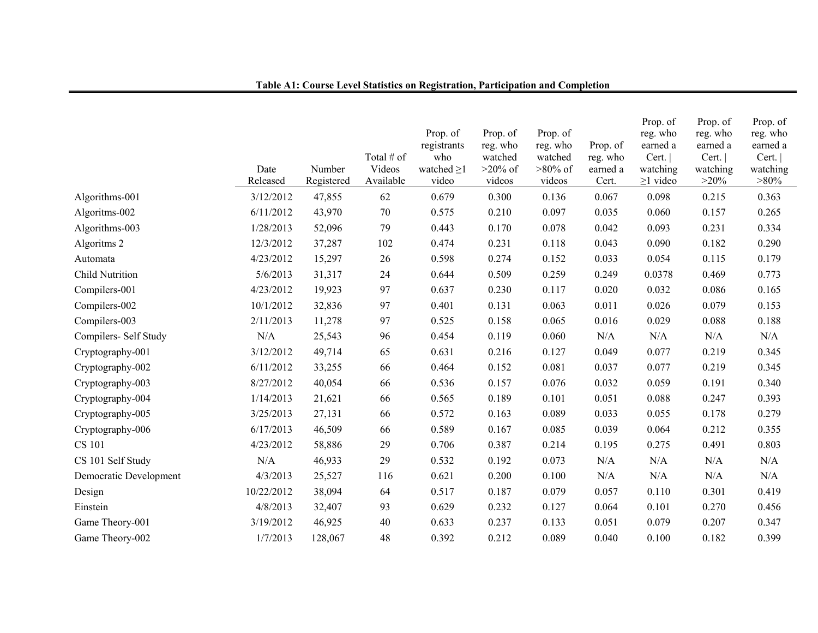|                        | Date<br>Released | Number<br>Registered | Total # of<br>Videos<br>Available | Prop. of<br>registrants<br>who<br>watched $\geq$ 1<br>video | Prop. of<br>reg. who<br>watched<br>$>20\%$ of<br>videos | Prop. of<br>reg. who<br>watched<br>$>80\%$ of<br>videos | Prop. of<br>reg. who<br>earned a<br>Cert. | Prop. of<br>reg. who<br>earned a<br>Cert.<br>watching<br>$\geq$ 1 video | Prop. of<br>reg. who<br>earned a<br>Cert.<br>watching<br>$>20\%$ | Prop. of<br>reg. who<br>earned a<br>Cert.<br>watching<br>$>80\%$ |
|------------------------|------------------|----------------------|-----------------------------------|-------------------------------------------------------------|---------------------------------------------------------|---------------------------------------------------------|-------------------------------------------|-------------------------------------------------------------------------|------------------------------------------------------------------|------------------------------------------------------------------|
| Algorithms-001         | 3/12/2012        | 47,855               | 62                                | 0.679                                                       | 0.300                                                   | 0.136                                                   | 0.067                                     | 0.098                                                                   | 0.215                                                            | 0.363                                                            |
| Algoritms-002          | 6/11/2012        | 43,970               | 70                                | 0.575                                                       | 0.210                                                   | 0.097                                                   | 0.035                                     | 0.060                                                                   | 0.157                                                            | 0.265                                                            |
| Algorithms-003         | 1/28/2013        | 52,096               | 79                                | 0.443                                                       | 0.170                                                   | 0.078                                                   | 0.042                                     | 0.093                                                                   | 0.231                                                            | 0.334                                                            |
| Algoritms 2            | 12/3/2012        | 37,287               | 102                               | 0.474                                                       | 0.231                                                   | 0.118                                                   | 0.043                                     | 0.090                                                                   | 0.182                                                            | 0.290                                                            |
| Automata               | 4/23/2012        | 15,297               | 26                                | 0.598                                                       | 0.274                                                   | 0.152                                                   | 0.033                                     | 0.054                                                                   | 0.115                                                            | 0.179                                                            |
| <b>Child Nutrition</b> | 5/6/2013         | 31,317               | 24                                | 0.644                                                       | 0.509                                                   | 0.259                                                   | 0.249                                     | 0.0378                                                                  | 0.469                                                            | 0.773                                                            |
| Compilers-001          | 4/23/2012        | 19,923               | 97                                | 0.637                                                       | 0.230                                                   | 0.117                                                   | 0.020                                     | 0.032                                                                   | 0.086                                                            | 0.165                                                            |
| Compilers-002          | 10/1/2012        | 32,836               | 97                                | 0.401                                                       | 0.131                                                   | 0.063                                                   | 0.011                                     | 0.026                                                                   | 0.079                                                            | 0.153                                                            |
| Compilers-003          | 2/11/2013        | 11,278               | 97                                | 0.525                                                       | 0.158                                                   | 0.065                                                   | 0.016                                     | 0.029                                                                   | 0.088                                                            | 0.188                                                            |
| Compilers- Self Study  | N/A              | 25,543               | 96                                | 0.454                                                       | 0.119                                                   | 0.060                                                   | N/A                                       | N/A                                                                     | N/A                                                              | $\rm N/A$                                                        |
| Cryptography-001       | 3/12/2012        | 49,714               | 65                                | 0.631                                                       | 0.216                                                   | 0.127                                                   | 0.049                                     | 0.077                                                                   | 0.219                                                            | 0.345                                                            |
| Cryptography-002       | 6/11/2012        | 33,255               | 66                                | 0.464                                                       | 0.152                                                   | 0.081                                                   | 0.037                                     | 0.077                                                                   | 0.219                                                            | 0.345                                                            |
| Cryptography-003       | 8/27/2012        | 40,054               | 66                                | 0.536                                                       | 0.157                                                   | 0.076                                                   | 0.032                                     | 0.059                                                                   | 0.191                                                            | 0.340                                                            |
| Cryptography-004       | 1/14/2013        | 21,621               | 66                                | 0.565                                                       | 0.189                                                   | 0.101                                                   | 0.051                                     | 0.088                                                                   | 0.247                                                            | 0.393                                                            |
| Cryptography-005       | 3/25/2013        | 27,131               | 66                                | 0.572                                                       | 0.163                                                   | 0.089                                                   | 0.033                                     | 0.055                                                                   | 0.178                                                            | 0.279                                                            |
| Cryptography-006       | 6/17/2013        | 46,509               | 66                                | 0.589                                                       | 0.167                                                   | 0.085                                                   | 0.039                                     | 0.064                                                                   | 0.212                                                            | 0.355                                                            |
| <b>CS 101</b>          | 4/23/2012        | 58,886               | 29                                | 0.706                                                       | 0.387                                                   | 0.214                                                   | 0.195                                     | 0.275                                                                   | 0.491                                                            | 0.803                                                            |
| CS 101 Self Study      | N/A              | 46,933               | 29                                | 0.532                                                       | 0.192                                                   | 0.073                                                   | N/A                                       | N/A                                                                     | N/A                                                              | N/A                                                              |
| Democratic Development | 4/3/2013         | 25,527               | 116                               | 0.621                                                       | 0.200                                                   | 0.100                                                   | N/A                                       | N/A                                                                     | N/A                                                              | N/A                                                              |
| Design                 | 10/22/2012       | 38,094               | 64                                | 0.517                                                       | 0.187                                                   | 0.079                                                   | 0.057                                     | 0.110                                                                   | 0.301                                                            | 0.419                                                            |
| Einstein               | 4/8/2013         | 32,407               | 93                                | 0.629                                                       | 0.232                                                   | 0.127                                                   | 0.064                                     | 0.101                                                                   | 0.270                                                            | 0.456                                                            |
| Game Theory-001        | 3/19/2012        | 46,925               | 40                                | 0.633                                                       | 0.237                                                   | 0.133                                                   | 0.051                                     | 0.079                                                                   | 0.207                                                            | 0.347                                                            |
| Game Theory-002        | 1/7/2013         | 128,067              | 48                                | 0.392                                                       | 0.212                                                   | 0.089                                                   | 0.040                                     | 0.100                                                                   | 0.182                                                            | 0.399                                                            |